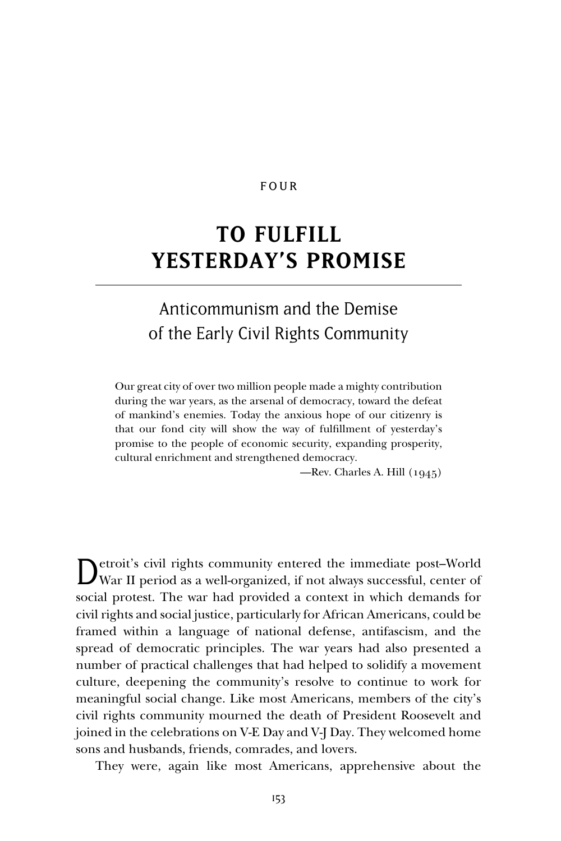#### four

# **TO FULFILL YESTERDAY'S PROMISE**

## Anticommunism and the Demise of the Early Civil Rights Community

Our great city of over two million people made a mighty contribution during the war years, as the arsenal of democracy, toward the defeat of mankind's enemies. Today the anxious hope of our citizenry is that our fond city will show the way of fulfillment of yesterday's promise to the people of economic security, expanding prosperity, cultural enrichment and strengthened democracy.

—Rev. Charles A. Hill (1945)

Detroit's civil rights community entered the immediate post–World War II period as a well-organized, if not always successful, center of social protest. The war had provided a context in which demands for civil rights and social justice, particularly for African Americans, could be framed within a language of national defense, antifascism, and the spread of democratic principles. The war years had also presented a number of practical challenges that had helped to solidify a movement culture, deepening the community's resolve to continue to work for meaningful social change. Like most Americans, members of the city's civil rights community mourned the death of President Roosevelt and joined in the celebrations on V-E Day and V-J Day. They welcomed home sons and husbands, friends, comrades, and lovers.

They were, again like most Americans, apprehensive about the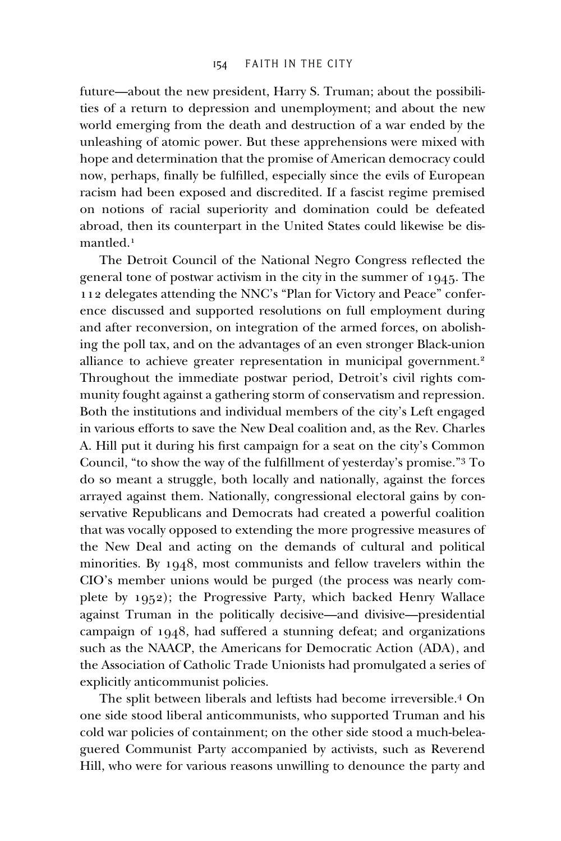future—about the new president, Harry S. Truman; about the possibilities of a return to depression and unemployment; and about the new world emerging from the death and destruction of a war ended by the unleashing of atomic power. But these apprehensions were mixed with hope and determination that the promise of American democracy could now, perhaps, finally be fulfilled, especially since the evils of European racism had been exposed and discredited. If a fascist regime premised on notions of racial superiority and domination could be defeated abroad, then its counterpart in the United States could likewise be dismantled.<sup>1</sup>

The Detroit Council of the National Negro Congress reflected the general tone of postwar activism in the city in the summer of 1945. The 112 delegates attending the NNC's "Plan for Victory and Peace" conference discussed and supported resolutions on full employment during and after reconversion, on integration of the armed forces, on abolishing the poll tax, and on the advantages of an even stronger Black-union alliance to achieve greater representation in municipal government.<sup>2</sup> Throughout the immediate postwar period, Detroit's civil rights community fought against a gathering storm of conservatism and repression. Both the institutions and individual members of the city's Left engaged in various efforts to save the New Deal coalition and, as the Rev. Charles A. Hill put it during his first campaign for a seat on the city's Common Council, "to show the way of the fulfillment of yesterday's promise."<sup>3</sup> To do so meant a struggle, both locally and nationally, against the forces arrayed against them. Nationally, congressional electoral gains by conservative Republicans and Democrats had created a powerful coalition that was vocally opposed to extending the more progressive measures of the New Deal and acting on the demands of cultural and political minorities. By 1948, most communists and fellow travelers within the CIO's member unions would be purged (the process was nearly complete by 1952); the Progressive Party, which backed Henry Wallace against Truman in the politically decisive—and divisive—presidential campaign of 1948, had suffered a stunning defeat; and organizations such as the NAACP, the Americans for Democratic Action (ADA), and the Association of Catholic Trade Unionists had promulgated a series of explicitly anticommunist policies.

The split between liberals and leftists had become irreversible.4 On one side stood liberal anticommunists, who supported Truman and his cold war policies of containment; on the other side stood a much-beleaguered Communist Party accompanied by activists, such as Reverend Hill, who were for various reasons unwilling to denounce the party and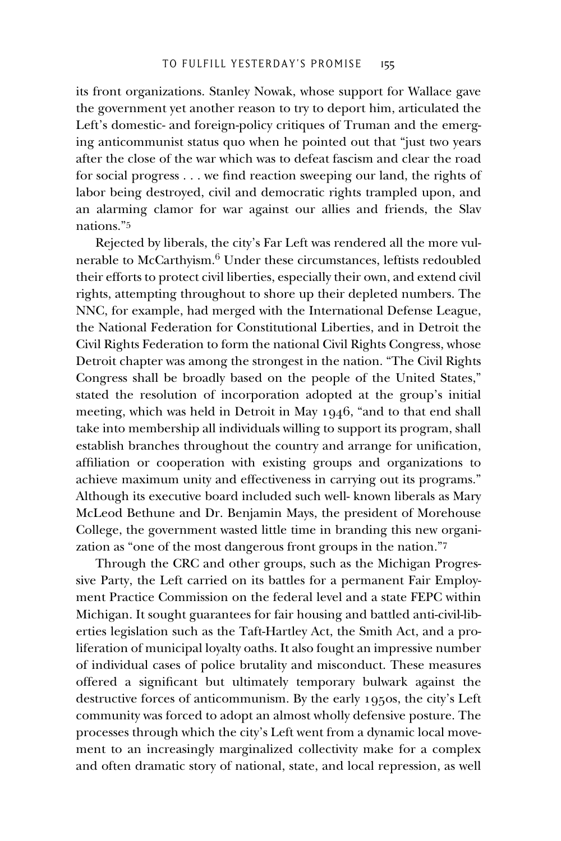its front organizations. Stanley Nowak, whose support for Wallace gave the government yet another reason to try to deport him, articulated the Left's domestic- and foreign-policy critiques of Truman and the emerging anticommunist status quo when he pointed out that "just two years after the close of the war which was to defeat fascism and clear the road for social progress . . . we find reaction sweeping our land, the rights of labor being destroyed, civil and democratic rights trampled upon, and an alarming clamor for war against our allies and friends, the Slav nations."<sup>5</sup>

Rejected by liberals, the city's Far Left was rendered all the more vulnerable to McCarthyism.6 Under these circumstances, leftists redoubled their efforts to protect civil liberties, especially their own, and extend civil rights, attempting throughout to shore up their depleted numbers. The NNC, for example, had merged with the International Defense League, the National Federation for Constitutional Liberties, and in Detroit the Civil Rights Federation to form the national Civil Rights Congress, whose Detroit chapter was among the strongest in the nation. "The Civil Rights Congress shall be broadly based on the people of the United States," stated the resolution of incorporation adopted at the group's initial meeting, which was held in Detroit in May 1946, "and to that end shall take into membership all individuals willing to support its program, shall establish branches throughout the country and arrange for unification, affiliation or cooperation with existing groups and organizations to achieve maximum unity and effectiveness in carrying out its programs." Although its executive board included such well- known liberals as Mary McLeod Bethune and Dr. Benjamin Mays, the president of Morehouse College, the government wasted little time in branding this new organization as "one of the most dangerous front groups in the nation."7

Through the CRC and other groups, such as the Michigan Progressive Party, the Left carried on its battles for a permanent Fair Employment Practice Commission on the federal level and a state FEPC within Michigan. It sought guarantees for fair housing and battled anti-civil-liberties legislation such as the Taft-Hartley Act, the Smith Act, and a proliferation of municipal loyalty oaths. It also fought an impressive number of individual cases of police brutality and misconduct. These measures offered a significant but ultimately temporary bulwark against the destructive forces of anticommunism. By the early 1950s, the city's Left community was forced to adopt an almost wholly defensive posture. The processes through which the city's Left went from a dynamic local movement to an increasingly marginalized collectivity make for a complex and often dramatic story of national, state, and local repression, as well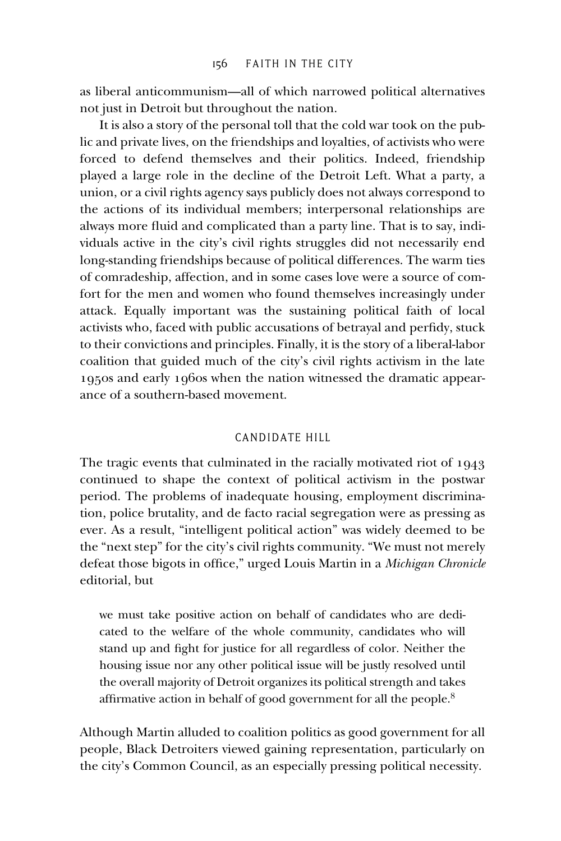as liberal anticommunism—all of which narrowed political alternatives not just in Detroit but throughout the nation.

It is also a story of the personal toll that the cold war took on the public and private lives, on the friendships and loyalties, of activists who were forced to defend themselves and their politics. Indeed, friendship played a large role in the decline of the Detroit Left. What a party, a union, or a civil rights agency says publicly does not always correspond to the actions of its individual members; interpersonal relationships are always more fluid and complicated than a party line. That is to say, individuals active in the city's civil rights struggles did not necessarily end long-standing friendships because of political differences. The warm ties of comradeship, affection, and in some cases love were a source of comfort for the men and women who found themselves increasingly under attack. Equally important was the sustaining political faith of local activists who, faced with public accusations of betrayal and perfidy, stuck to their convictions and principles. Finally, it is the story of a liberal-labor coalition that guided much of the city's civil rights activism in the late 1950s and early 1960s when the nation witnessed the dramatic appearance of a southern-based movement.

#### CANDIDATE HILL

The tragic events that culminated in the racially motivated riot of 1943 continued to shape the context of political activism in the postwar period. The problems of inadequate housing, employment discrimination, police brutality, and de facto racial segregation were as pressing as ever. As a result, "intelligent political action" was widely deemed to be the "next step" for the city's civil rights community. "We must not merely defeat those bigots in office," urged Louis Martin in a *Michigan Chronicle* editorial, but

we must take positive action on behalf of candidates who are dedicated to the welfare of the whole community, candidates who will stand up and fight for justice for all regardless of color. Neither the housing issue nor any other political issue will be justly resolved until the overall majority of Detroit organizes its political strength and takes affirmative action in behalf of good government for all the people.<sup>8</sup>

Although Martin alluded to coalition politics as good government for all people, Black Detroiters viewed gaining representation, particularly on the city's Common Council, as an especially pressing political necessity.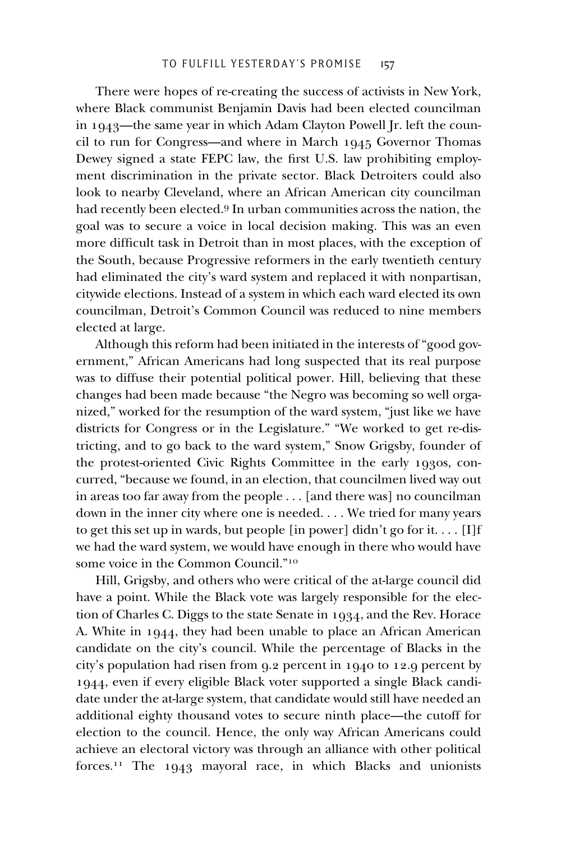There were hopes of re-creating the success of activists in New York, where Black communist Benjamin Davis had been elected councilman in 1943—the same year in which Adam Clayton Powell Jr. left the council to run for Congress—and where in March 1945 Governor Thomas Dewey signed a state FEPC law, the first U.S. law prohibiting employment discrimination in the private sector. Black Detroiters could also look to nearby Cleveland, where an African American city councilman had recently been elected.9 In urban communities across the nation, the goal was to secure a voice in local decision making. This was an even more difficult task in Detroit than in most places, with the exception of the South, because Progressive reformers in the early twentieth century had eliminated the city's ward system and replaced it with nonpartisan, citywide elections. Instead of a system in which each ward elected its own councilman, Detroit's Common Council was reduced to nine members elected at large.

Although this reform had been initiated in the interests of "good government," African Americans had long suspected that its real purpose was to diffuse their potential political power. Hill, believing that these changes had been made because "the Negro was becoming so well organized," worked for the resumption of the ward system, "just like we have districts for Congress or in the Legislature." "We worked to get re-districting, and to go back to the ward system," Snow Grigsby, founder of the protest-oriented Civic Rights Committee in the early 1930s, concurred, "because we found, in an election, that councilmen lived way out in areas too far away from the people . . . [and there was] no councilman down in the inner city where one is needed. . . . We tried for many years to get this set up in wards, but people [in power] didn't go for it. . . . [I]f we had the ward system, we would have enough in there who would have some voice in the Common Council."<sup>10</sup>

Hill, Grigsby, and others who were critical of the at-large council did have a point. While the Black vote was largely responsible for the election of Charles C. Diggs to the state Senate in 1934, and the Rev. Horace A. White in 1944, they had been unable to place an African American candidate on the city's council. While the percentage of Blacks in the city's population had risen from 9.2 percent in 1940 to 12.9 percent by 1944, even if every eligible Black voter supported a single Black candidate under the at-large system, that candidate would still have needed an additional eighty thousand votes to secure ninth place—the cutoff for election to the council. Hence, the only way African Americans could achieve an electoral victory was through an alliance with other political forces.11 The 1943 mayoral race, in which Blacks and unionists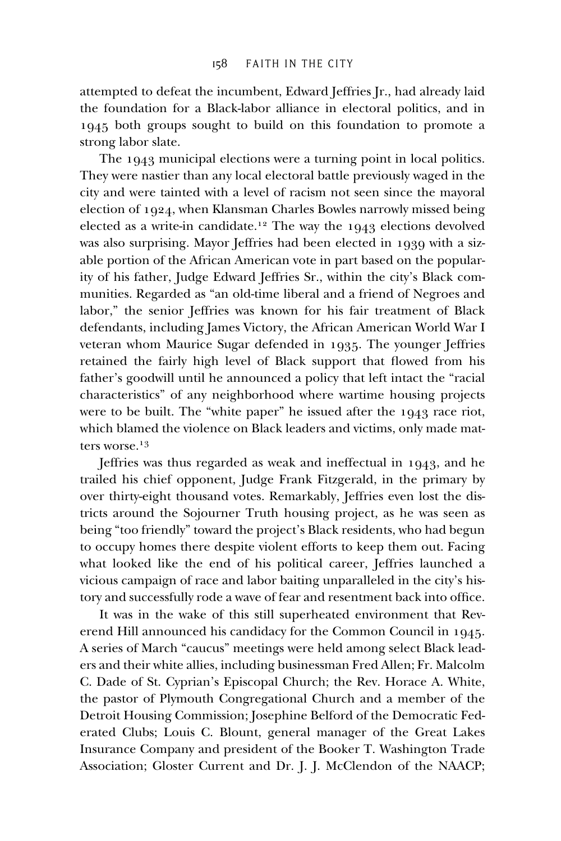attempted to defeat the incumbent, Edward Jeffries Jr., had already laid the foundation for a Black-labor alliance in electoral politics, and in 1945 both groups sought to build on this foundation to promote a strong labor slate.

The 1943 municipal elections were a turning point in local politics. They were nastier than any local electoral battle previously waged in the city and were tainted with a level of racism not seen since the mayoral election of 1924, when Klansman Charles Bowles narrowly missed being elected as a write-in candidate.12 The way the 1943 elections devolved was also surprising. Mayor Jeffries had been elected in 1939 with a sizable portion of the African American vote in part based on the popularity of his father, Judge Edward Jeffries Sr., within the city's Black communities. Regarded as "an old-time liberal and a friend of Negroes and labor," the senior Jeffries was known for his fair treatment of Black defendants, including James Victory, the African American World War I veteran whom Maurice Sugar defended in 1935. The younger Jeffries retained the fairly high level of Black support that flowed from his father's goodwill until he announced a policy that left intact the "racial characteristics" of any neighborhood where wartime housing projects were to be built. The "white paper" he issued after the 1943 race riot, which blamed the violence on Black leaders and victims, only made matters worse.<sup>13</sup>

Jeffries was thus regarded as weak and ineffectual in 1943, and he trailed his chief opponent, Judge Frank Fitzgerald, in the primary by over thirty-eight thousand votes. Remarkably, Jeffries even lost the districts around the Sojourner Truth housing project, as he was seen as being "too friendly" toward the project's Black residents, who had begun to occupy homes there despite violent efforts to keep them out. Facing what looked like the end of his political career, Jeffries launched a vicious campaign of race and labor baiting unparalleled in the city's history and successfully rode a wave of fear and resentment back into office.

It was in the wake of this still superheated environment that Reverend Hill announced his candidacy for the Common Council in 1945. A series of March "caucus" meetings were held among select Black leaders and their white allies, including businessman Fred Allen; Fr. Malcolm C. Dade of St. Cyprian's Episcopal Church; the Rev. Horace A. White, the pastor of Plymouth Congregational Church and a member of the Detroit Housing Commission; Josephine Belford of the Democratic Federated Clubs; Louis C. Blount, general manager of the Great Lakes Insurance Company and president of the Booker T. Washington Trade Association; Gloster Current and Dr. J. J. McClendon of the NAACP;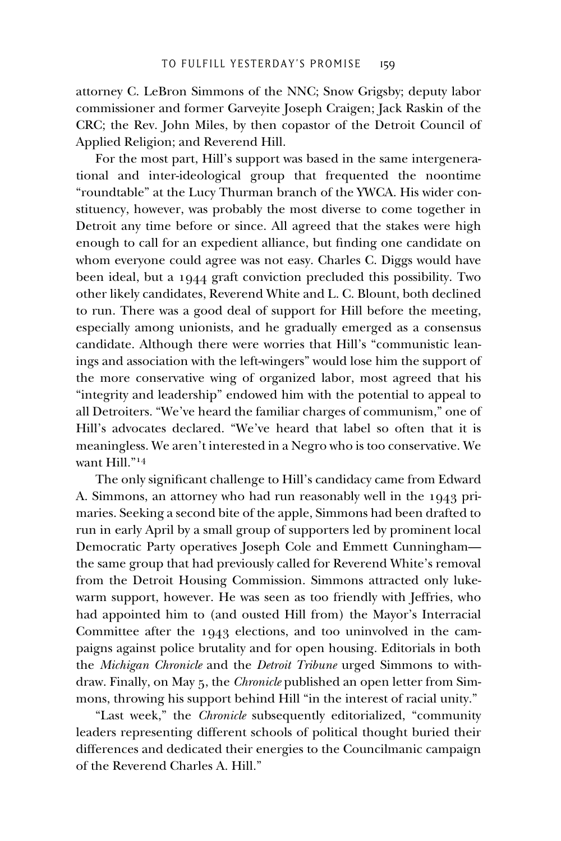attorney C. LeBron Simmons of the NNC; Snow Grigsby; deputy labor commissioner and former Garveyite Joseph Craigen; Jack Raskin of the CRC; the Rev. John Miles, by then copastor of the Detroit Council of Applied Religion; and Reverend Hill.

For the most part, Hill's support was based in the same intergenerational and inter-ideological group that frequented the noontime "roundtable" at the Lucy Thurman branch of the YWCA. His wider constituency, however, was probably the most diverse to come together in Detroit any time before or since. All agreed that the stakes were high enough to call for an expedient alliance, but finding one candidate on whom everyone could agree was not easy. Charles C. Diggs would have been ideal, but a 1944 graft conviction precluded this possibility. Two other likely candidates, Reverend White and L. C. Blount, both declined to run. There was a good deal of support for Hill before the meeting, especially among unionists, and he gradually emerged as a consensus candidate. Although there were worries that Hill's "communistic leanings and association with the left-wingers" would lose him the support of the more conservative wing of organized labor, most agreed that his "integrity and leadership" endowed him with the potential to appeal to all Detroiters. "We've heard the familiar charges of communism," one of Hill's advocates declared. "We've heard that label so often that it is meaningless. We aren't interested in a Negro who is too conservative. We want Hill."<sup>14</sup>

The only significant challenge to Hill's candidacy came from Edward A. Simmons, an attorney who had run reasonably well in the 1943 primaries. Seeking a second bite of the apple, Simmons had been drafted to run in early April by a small group of supporters led by prominent local Democratic Party operatives Joseph Cole and Emmett Cunningham the same group that had previously called for Reverend White's removal from the Detroit Housing Commission. Simmons attracted only lukewarm support, however. He was seen as too friendly with Jeffries, who had appointed him to (and ousted Hill from) the Mayor's Interracial Committee after the 1943 elections, and too uninvolved in the campaigns against police brutality and for open housing. Editorials in both the *Michigan Chronicle* and the *Detroit Tribune* urged Simmons to withdraw. Finally, on May 5, the *Chronicle* published an open letter from Simmons, throwing his support behind Hill "in the interest of racial unity."

"Last week," the *Chronicle* subsequently editorialized, "community leaders representing different schools of political thought buried their differences and dedicated their energies to the Councilmanic campaign of the Reverend Charles A. Hill."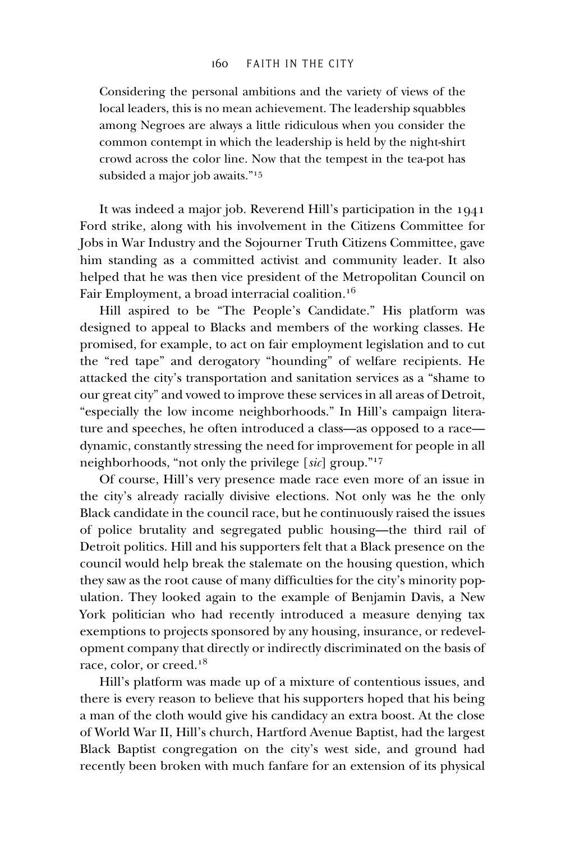Considering the personal ambitions and the variety of views of the local leaders, this is no mean achievement. The leadership squabbles among Negroes are always a little ridiculous when you consider the common contempt in which the leadership is held by the night-shirt crowd across the color line. Now that the tempest in the tea-pot has subsided a major job awaits."<sup>15</sup>

It was indeed a major job. Reverend Hill's participation in the 1941 Ford strike, along with his involvement in the Citizens Committee for Jobs in War Industry and the Sojourner Truth Citizens Committee, gave him standing as a committed activist and community leader. It also helped that he was then vice president of the Metropolitan Council on Fair Employment, a broad interracial coalition.<sup>16</sup>

Hill aspired to be "The People's Candidate." His platform was designed to appeal to Blacks and members of the working classes. He promised, for example, to act on fair employment legislation and to cut the "red tape" and derogatory "hounding" of welfare recipients. He attacked the city's transportation and sanitation services as a "shame to our great city" and vowed to improve these services in all areas of Detroit, "especially the low income neighborhoods." In Hill's campaign literature and speeches, he often introduced a class—as opposed to a race dynamic, constantly stressing the need for improvement for people in all neighborhoods, "not only the privilege [*sic*] group."<sup>17</sup>

Of course, Hill's very presence made race even more of an issue in the city's already racially divisive elections. Not only was he the only Black candidate in the council race, but he continuously raised the issues of police brutality and segregated public housing—the third rail of Detroit politics. Hill and his supporters felt that a Black presence on the council would help break the stalemate on the housing question, which they saw as the root cause of many difficulties for the city's minority population. They looked again to the example of Benjamin Davis, a New York politician who had recently introduced a measure denying tax exemptions to projects sponsored by any housing, insurance, or redevelopment company that directly or indirectly discriminated on the basis of race, color, or creed.<sup>18</sup>

Hill's platform was made up of a mixture of contentious issues, and there is every reason to believe that his supporters hoped that his being a man of the cloth would give his candidacy an extra boost. At the close of World War II, Hill's church, Hartford Avenue Baptist, had the largest Black Baptist congregation on the city's west side, and ground had recently been broken with much fanfare for an extension of its physical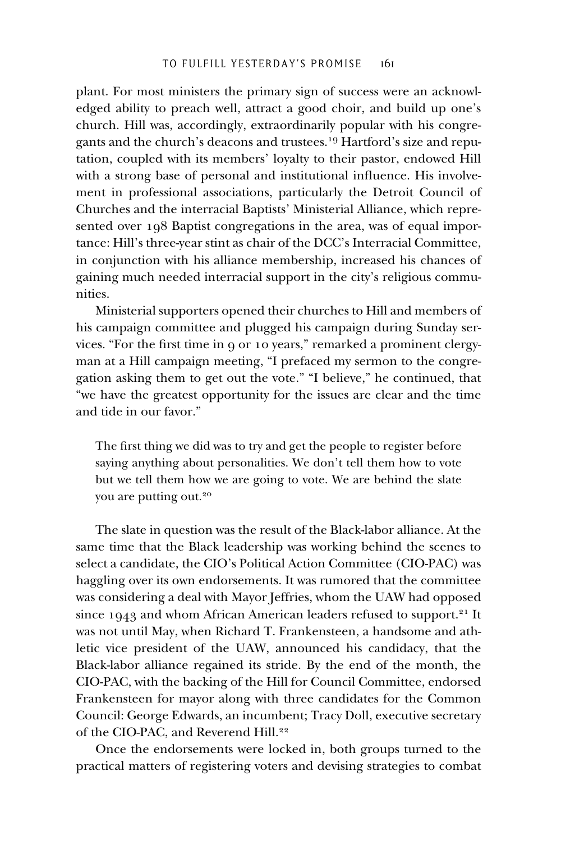plant. For most ministers the primary sign of success were an acknowledged ability to preach well, attract a good choir, and build up one's church. Hill was, accordingly, extraordinarily popular with his congregants and the church's deacons and trustees.<sup>19</sup> Hartford's size and reputation, coupled with its members' loyalty to their pastor, endowed Hill with a strong base of personal and institutional influence. His involvement in professional associations, particularly the Detroit Council of Churches and the interracial Baptists' Ministerial Alliance, which represented over 198 Baptist congregations in the area, was of equal importance: Hill's three-year stint as chair of the DCC's Interracial Committee, in conjunction with his alliance membership, increased his chances of gaining much needed interracial support in the city's religious communities.

Ministerial supporters opened their churches to Hill and members of his campaign committee and plugged his campaign during Sunday services. "For the first time in 9 or 10 years," remarked a prominent clergyman at a Hill campaign meeting, "I prefaced my sermon to the congregation asking them to get out the vote." "I believe," he continued, that "we have the greatest opportunity for the issues are clear and the time and tide in our favor."

The first thing we did was to try and get the people to register before saying anything about personalities. We don't tell them how to vote but we tell them how we are going to vote. We are behind the slate you are putting out.<sup>20</sup>

The slate in question was the result of the Black-labor alliance. At the same time that the Black leadership was working behind the scenes to select a candidate, the CIO's Political Action Committee (CIO-PAC) was haggling over its own endorsements. It was rumored that the committee was considering a deal with Mayor Jeffries, whom the UAW had opposed since 1943 and whom African American leaders refused to support.<sup>21</sup> It was not until May, when Richard T. Frankensteen, a handsome and athletic vice president of the UAW, announced his candidacy, that the Black-labor alliance regained its stride. By the end of the month, the CIO-PAC, with the backing of the Hill for Council Committee, endorsed Frankensteen for mayor along with three candidates for the Common Council: George Edwards, an incumbent; Tracy Doll, executive secretary of the CIO-PAC, and Reverend Hill.<sup>22</sup>

Once the endorsements were locked in, both groups turned to the practical matters of registering voters and devising strategies to combat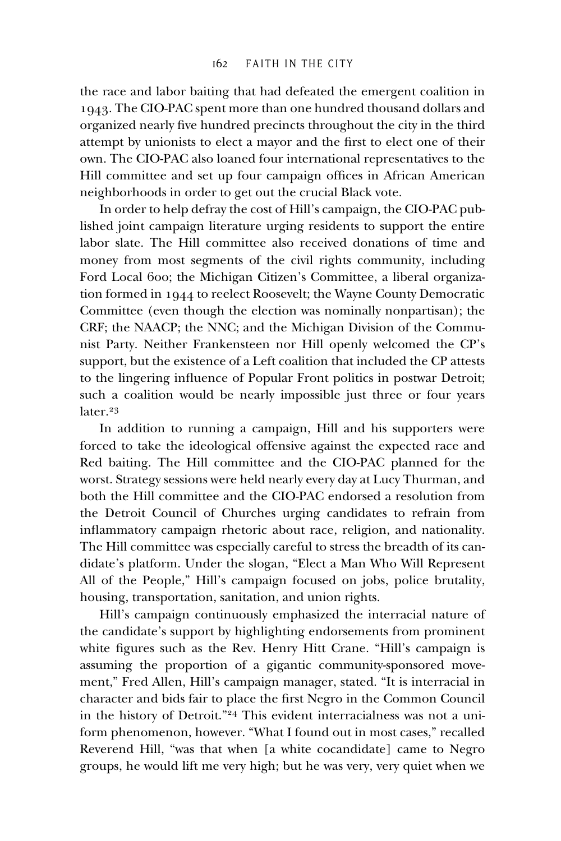the race and labor baiting that had defeated the emergent coalition in 1943. The CIO-PAC spent more than one hundred thousand dollars and organized nearly five hundred precincts throughout the city in the third attempt by unionists to elect a mayor and the first to elect one of their own. The CIO-PAC also loaned four international representatives to the Hill committee and set up four campaign offices in African American neighborhoods in order to get out the crucial Black vote.

In order to help defray the cost of Hill's campaign, the CIO-PAC published joint campaign literature urging residents to support the entire labor slate. The Hill committee also received donations of time and money from most segments of the civil rights community, including Ford Local 600; the Michigan Citizen's Committee, a liberal organization formed in 1944 to reelect Roosevelt; the Wayne County Democratic Committee (even though the election was nominally nonpartisan); the CRF; the NAACP; the NNC; and the Michigan Division of the Communist Party. Neither Frankensteen nor Hill openly welcomed the CP's support, but the existence of a Left coalition that included the CP attests to the lingering influence of Popular Front politics in postwar Detroit; such a coalition would be nearly impossible just three or four years later.<sup>23</sup>

In addition to running a campaign, Hill and his supporters were forced to take the ideological offensive against the expected race and Red baiting. The Hill committee and the CIO-PAC planned for the worst. Strategy sessions were held nearly every day at Lucy Thurman, and both the Hill committee and the CIO-PAC endorsed a resolution from the Detroit Council of Churches urging candidates to refrain from inflammatory campaign rhetoric about race, religion, and nationality. The Hill committee was especially careful to stress the breadth of its candidate's platform. Under the slogan, "Elect a Man Who Will Represent All of the People," Hill's campaign focused on jobs, police brutality, housing, transportation, sanitation, and union rights.

Hill's campaign continuously emphasized the interracial nature of the candidate's support by highlighting endorsements from prominent white figures such as the Rev. Henry Hitt Crane. "Hill's campaign is assuming the proportion of a gigantic community-sponsored movement," Fred Allen, Hill's campaign manager, stated. "It is interracial in character and bids fair to place the first Negro in the Common Council in the history of Detroit."<sup>24</sup> This evident interracialness was not a uniform phenomenon, however. "What I found out in most cases," recalled Reverend Hill, "was that when [a white cocandidate] came to Negro groups, he would lift me very high; but he was very, very quiet when we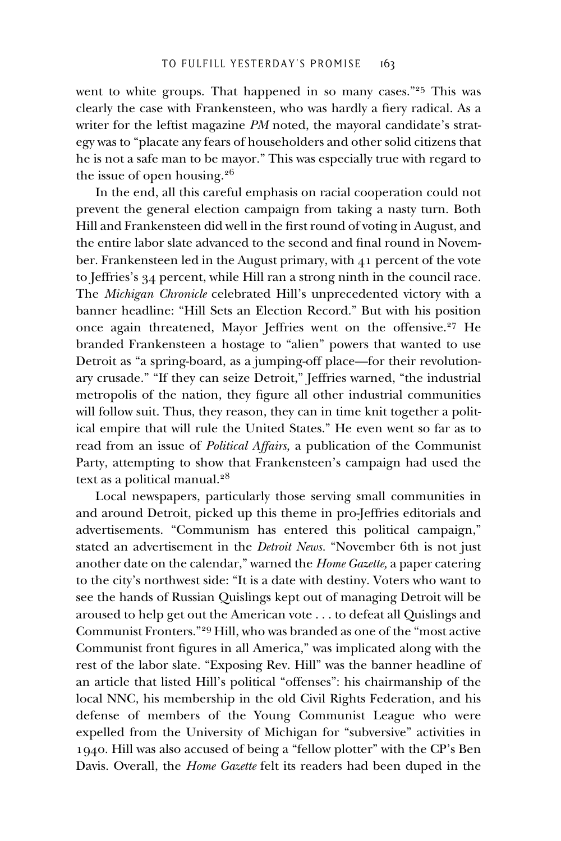went to white groups. That happened in so many cases."<sup>25</sup> This was clearly the case with Frankensteen, who was hardly a fiery radical. As a writer for the leftist magazine *PM* noted, the mayoral candidate's strategy was to "placate any fears of householders and other solid citizens that he is not a safe man to be mayor." This was especially true with regard to the issue of open housing.<sup>26</sup>

In the end, all this careful emphasis on racial cooperation could not prevent the general election campaign from taking a nasty turn. Both Hill and Frankensteen did well in the first round of voting in August, and the entire labor slate advanced to the second and final round in November. Frankensteen led in the August primary, with  $41$  percent of the vote to Jeffries's 34 percent, while Hill ran a strong ninth in the council race. The *Michigan Chronicle* celebrated Hill's unprecedented victory with a banner headline: "Hill Sets an Election Record." But with his position once again threatened, Mayor Jeffries went on the offensive.27 He branded Frankensteen a hostage to "alien" powers that wanted to use Detroit as "a spring-board, as a jumping-off place—for their revolutionary crusade." "If they can seize Detroit," Jeffries warned, "the industrial metropolis of the nation, they figure all other industrial communities will follow suit. Thus, they reason, they can in time knit together a political empire that will rule the United States." He even went so far as to read from an issue of *Political Affairs,* a publication of the Communist Party, attempting to show that Frankensteen's campaign had used the text as a political manual.<sup>28</sup>

Local newspapers, particularly those serving small communities in and around Detroit, picked up this theme in pro-Jeffries editorials and advertisements. "Communism has entered this political campaign," stated an advertisement in the *Detroit News.* "November 6th is not just another date on the calendar," warned the *Home Gazette,* a paper catering to the city's northwest side: "It is a date with destiny. Voters who want to see the hands of Russian Quislings kept out of managing Detroit will be aroused to help get out the American vote . . . to defeat all Quislings and Communist Fronters."<sup>29</sup> Hill, who was branded as one of the "most active Communist front figures in all America," was implicated along with the rest of the labor slate. "Exposing Rev. Hill" was the banner headline of an article that listed Hill's political "offenses": his chairmanship of the local NNC, his membership in the old Civil Rights Federation, and his defense of members of the Young Communist League who were expelled from the University of Michigan for "subversive" activities in 1940. Hill was also accused of being a "fellow plotter" with the CP's Ben Davis. Overall, the *Home Gazette* felt its readers had been duped in the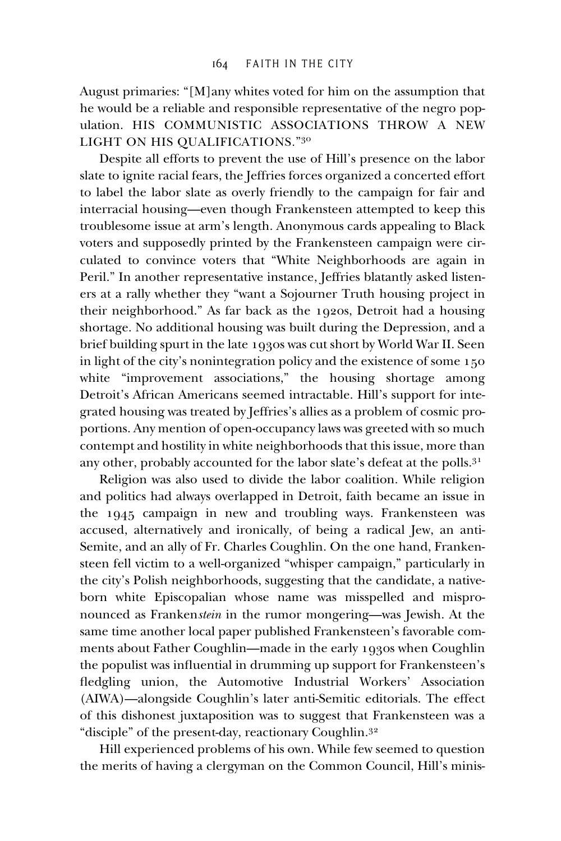August primaries: "[M]any whites voted for him on the assumption that he would be a reliable and responsible representative of the negro population. HIS COMMUNISTIC ASSOCIATIONS THROW A NEW LIGHT ON HIS QUALIFICATIONS."30

Despite all efforts to prevent the use of Hill's presence on the labor slate to ignite racial fears, the Jeffries forces organized a concerted effort to label the labor slate as overly friendly to the campaign for fair and interracial housing—even though Frankensteen attempted to keep this troublesome issue at arm's length. Anonymous cards appealing to Black voters and supposedly printed by the Frankensteen campaign were circulated to convince voters that "White Neighborhoods are again in Peril." In another representative instance, Jeffries blatantly asked listeners at a rally whether they "want a Sojourner Truth housing project in their neighborhood." As far back as the 1920s, Detroit had a housing shortage. No additional housing was built during the Depression, and a brief building spurt in the late 1930s was cut short by World War II. Seen in light of the city's nonintegration policy and the existence of some 150 white "improvement associations," the housing shortage among Detroit's African Americans seemed intractable. Hill's support for integrated housing was treated by Jeffries's allies as a problem of cosmic proportions. Any mention of open-occupancy laws was greeted with so much contempt and hostility in white neighborhoods that this issue, more than any other, probably accounted for the labor slate's defeat at the polls.31

Religion was also used to divide the labor coalition. While religion and politics had always overlapped in Detroit, faith became an issue in the 1945 campaign in new and troubling ways. Frankensteen was accused, alternatively and ironically, of being a radical Jew, an anti-Semite, and an ally of Fr. Charles Coughlin. On the one hand, Frankensteen fell victim to a well-organized "whisper campaign," particularly in the city's Polish neighborhoods, suggesting that the candidate, a nativeborn white Episcopalian whose name was misspelled and mispronounced as Franken*stein* in the rumor mongering—was Jewish. At the same time another local paper published Frankensteen's favorable comments about Father Coughlin—made in the early 1930s when Coughlin the populist was influential in drumming up support for Frankensteen's fledgling union, the Automotive Industrial Workers' Association (AIWA)—alongside Coughlin's later anti-Semitic editorials. The effect of this dishonest juxtaposition was to suggest that Frankensteen was a "disciple" of the present-day, reactionary Coughlin.32

Hill experienced problems of his own. While few seemed to question the merits of having a clergyman on the Common Council, Hill's minis-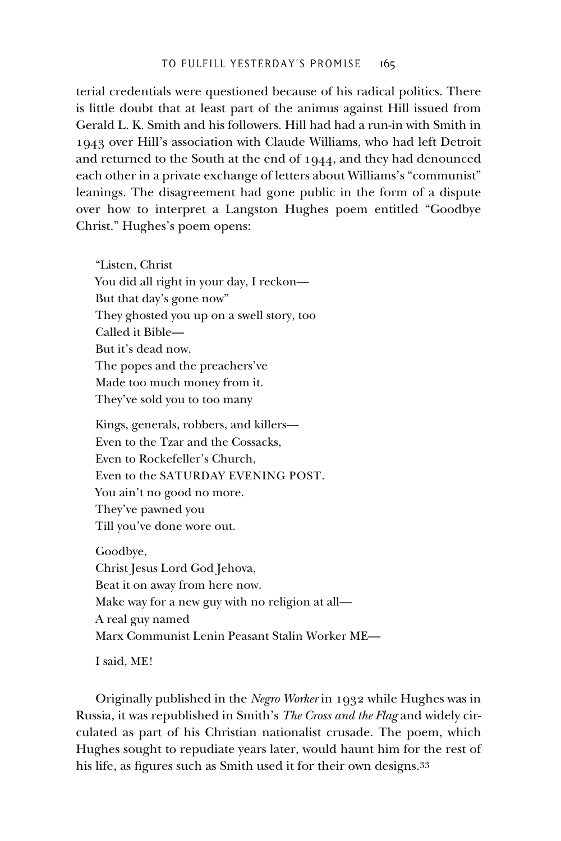terial credentials were questioned because of his radical politics. There is little doubt that at least part of the animus against Hill issued from Gerald L. K. Smith and his followers. Hill had had a run-in with Smith in 1943 over Hill's association with Claude Williams, who had left Detroit and returned to the South at the end of 1944, and they had denounced each other in a private exchange of letters about Williams's "communist" leanings. The disagreement had gone public in the form of a dispute over how to interpret a Langston Hughes poem entitled "Goodbye Christ." Hughes's poem opens:

"Listen, Christ You did all right in your day, I reckon— But that day's gone now" They ghosted you up on a swell story, too Called it Bible— But it's dead now. The popes and the preachers've Made too much money from it. They've sold you to too many

Kings, generals, robbers, and killers— Even to the Tzar and the Cossacks, Even to Rockefeller's Church, Even to the SATURDAY EVENING POST. You ain't no good no more. They've pawned you Till you've done wore out.

Goodbye, Christ Jesus Lord God Jehova, Beat it on away from here now. Make way for a new guy with no religion at all— A real guy named Marx Communist Lenin Peasant Stalin Worker ME—

I said, ME!

Originally published in the *Negro Worker* in 1932 while Hughes was in Russia, it was republished in Smith's *The Cross and the Flag* and widely circulated as part of his Christian nationalist crusade. The poem, which Hughes sought to repudiate years later, would haunt him for the rest of his life, as figures such as Smith used it for their own designs.<sup>33</sup>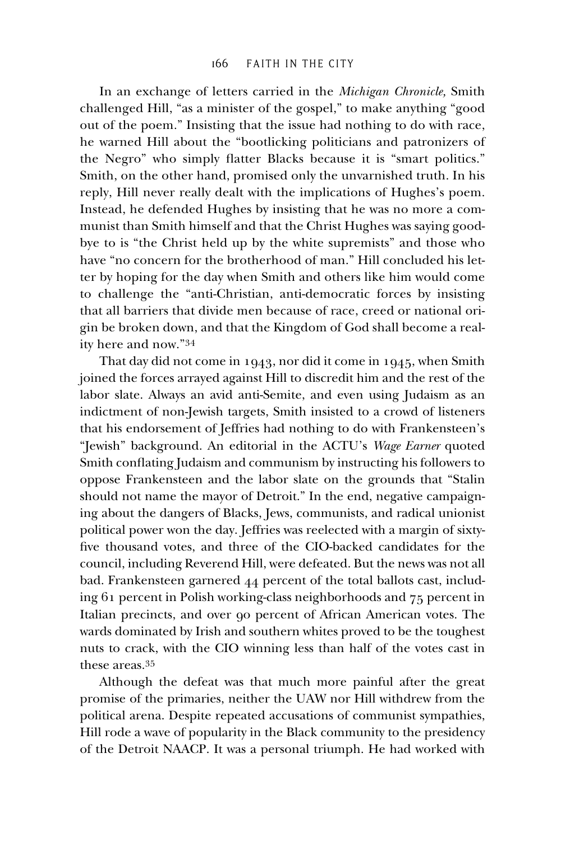In an exchange of letters carried in the *Michigan Chronicle,* Smith challenged Hill, "as a minister of the gospel," to make anything "good out of the poem." Insisting that the issue had nothing to do with race, he warned Hill about the "bootlicking politicians and patronizers of the Negro" who simply flatter Blacks because it is "smart politics." Smith, on the other hand, promised only the unvarnished truth. In his reply, Hill never really dealt with the implications of Hughes's poem. Instead, he defended Hughes by insisting that he was no more a communist than Smith himself and that the Christ Hughes was saying goodbye to is "the Christ held up by the white supremists" and those who have "no concern for the brotherhood of man." Hill concluded his letter by hoping for the day when Smith and others like him would come to challenge the "anti-Christian, anti-democratic forces by insisting that all barriers that divide men because of race, creed or national origin be broken down, and that the Kingdom of God shall become a reality here and now."<sup>34</sup>

That day did not come in 1943, nor did it come in 1945, when Smith joined the forces arrayed against Hill to discredit him and the rest of the labor slate. Always an avid anti-Semite, and even using Judaism as an indictment of non-Jewish targets, Smith insisted to a crowd of listeners that his endorsement of Jeffries had nothing to do with Frankensteen's "Jewish" background. An editorial in the ACTU's *Wage Earner* quoted Smith conflating Judaism and communism by instructing his followers to oppose Frankensteen and the labor slate on the grounds that "Stalin should not name the mayor of Detroit." In the end, negative campaigning about the dangers of Blacks, Jews, communists, and radical unionist political power won the day. Jeffries was reelected with a margin of sixty five thousand votes, and three of the CIO-backed candidates for the council, including Reverend Hill, were defeated. But the news was not all bad. Frankensteen garnered 44 percent of the total ballots cast, including 61 percent in Polish working-class neighborhoods and 75 percent in Italian precincts, and over 90 percent of African American votes. The wards dominated by Irish and southern whites proved to be the toughest nuts to crack, with the CIO winning less than half of the votes cast in these areas.35

Although the defeat was that much more painful after the great promise of the primaries, neither the UAW nor Hill withdrew from the political arena. Despite repeated accusations of communist sympathies, Hill rode a wave of popularity in the Black community to the presidency of the Detroit NAACP. It was a personal triumph. He had worked with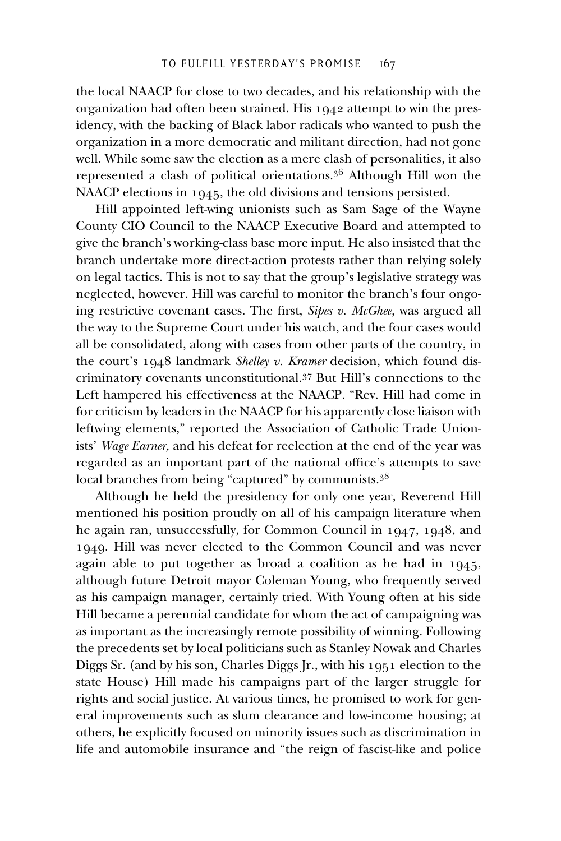the local NAACP for close to two decades, and his relationship with the organization had often been strained. His 1942 attempt to win the presidency, with the backing of Black labor radicals who wanted to push the organization in a more democratic and militant direction, had not gone well. While some saw the election as a mere clash of personalities, it also represented a clash of political orientations.36 Although Hill won the NAACP elections in 1945, the old divisions and tensions persisted.

Hill appointed left-wing unionists such as Sam Sage of the Wayne County CIO Council to the NAACP Executive Board and attempted to give the branch's working-class base more input. He also insisted that the branch undertake more direct-action protests rather than relying solely on legal tactics. This is not to say that the group's legislative strategy was neglected, however. Hill was careful to monitor the branch's four ongoing restrictive covenant cases. The first, *Sipes v. McGhee*, was argued all the way to the Supreme Court under his watch, and the four cases would all be consolidated, along with cases from other parts of the country, in the court's 1948 landmark *Shelley v. Kramer* decision, which found discriminatory covenants unconstitutional.37 But Hill's connections to the Left hampered his effectiveness at the NAACP. "Rev. Hill had come in for criticism by leaders in the NAACP for his apparently close liaison with leftwing elements," reported the Association of Catholic Trade Unionists' *Wage Earner,* and his defeat for reelection at the end of the year was regarded as an important part of the national office's attempts to save local branches from being "captured" by communists.38

Although he held the presidency for only one year, Reverend Hill mentioned his position proudly on all of his campaign literature when he again ran, unsuccessfully, for Common Council in 1947, 1948, and 1949. Hill was never elected to the Common Council and was never again able to put together as broad a coalition as he had in 1945, although future Detroit mayor Coleman Young, who frequently served as his campaign manager, certainly tried. With Young often at his side Hill became a perennial candidate for whom the act of campaigning was as important as the increasingly remote possibility of winning. Following the precedents set by local politicians such as Stanley Nowak and Charles Diggs Sr. (and by his son, Charles Diggs Jr., with his 1951 election to the state House) Hill made his campaigns part of the larger struggle for rights and social justice. At various times, he promised to work for general improvements such as slum clearance and low-income housing; at others, he explicitly focused on minority issues such as discrimination in life and automobile insurance and "the reign of fascist-like and police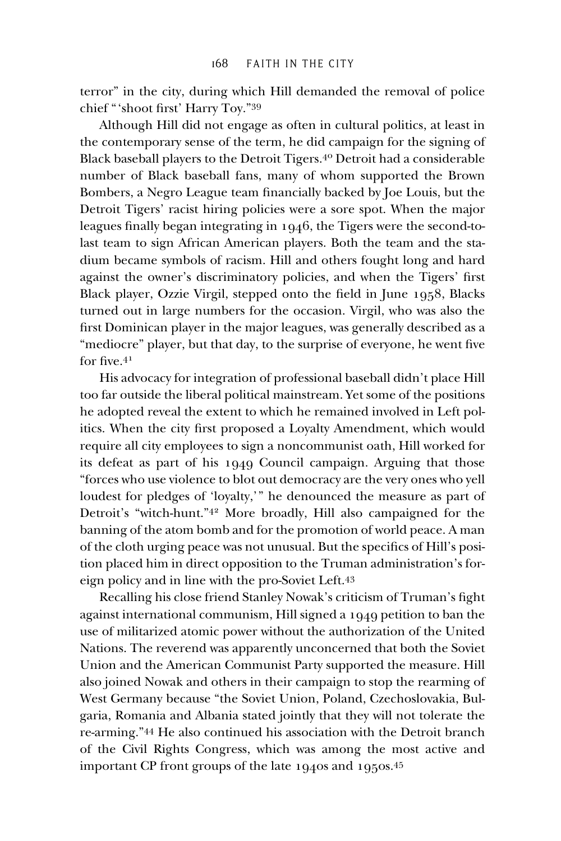terror" in the city, during which Hill demanded the removal of police chief "'shoot first' Harry Toy."39

Although Hill did not engage as often in cultural politics, at least in the contemporary sense of the term, he did campaign for the signing of Black baseball players to the Detroit Tigers.40 Detroit had a considerable number of Black baseball fans, many of whom supported the Brown Bombers, a Negro League team financially backed by Joe Louis, but the Detroit Tigers' racist hiring policies were a sore spot. When the major leagues finally began integrating in  $1946$ , the Tigers were the second-tolast team to sign African American players. Both the team and the stadium became symbols of racism. Hill and others fought long and hard against the owner's discriminatory policies, and when the Tigers' first Black player, Ozzie Virgil, stepped onto the field in June 1958, Blacks turned out in large numbers for the occasion. Virgil, who was also the first Dominican player in the major leagues, was generally described as a "mediocre" player, but that day, to the surprise of everyone, he went five for five. $4<sup>1</sup>$ 

His advocacy for integration of professional baseball didn't place Hill too far outside the liberal political mainstream. Yet some of the positions he adopted reveal the extent to which he remained involved in Left politics. When the city first proposed a Loyalty Amendment, which would require all city employees to sign a noncommunist oath, Hill worked for its defeat as part of his 1949 Council campaign. Arguing that those "forces who use violence to blot out democracy are the very ones who yell loudest for pledges of 'loyalty,'" he denounced the measure as part of Detroit's "witch-hunt."42 More broadly, Hill also campaigned for the banning of the atom bomb and for the promotion of world peace. A man of the cloth urging peace was not unusual. But the specifics of Hill's position placed him in direct opposition to the Truman administration's foreign policy and in line with the pro-Soviet Left.<sup>43</sup>

Recalling his close friend Stanley Nowak's criticism of Truman's fight against international communism, Hill signed a 1949 petition to ban the use of militarized atomic power without the authorization of the United Nations. The reverend was apparently unconcerned that both the Soviet Union and the American Communist Party supported the measure. Hill also joined Nowak and others in their campaign to stop the rearming of West Germany because "the Soviet Union, Poland, Czechoslovakia, Bulgaria, Romania and Albania stated jointly that they will not tolerate the re-arming."44 He also continued his association with the Detroit branch of the Civil Rights Congress, which was among the most active and important CP front groups of the late 1940s and 1950s.<sup>45</sup>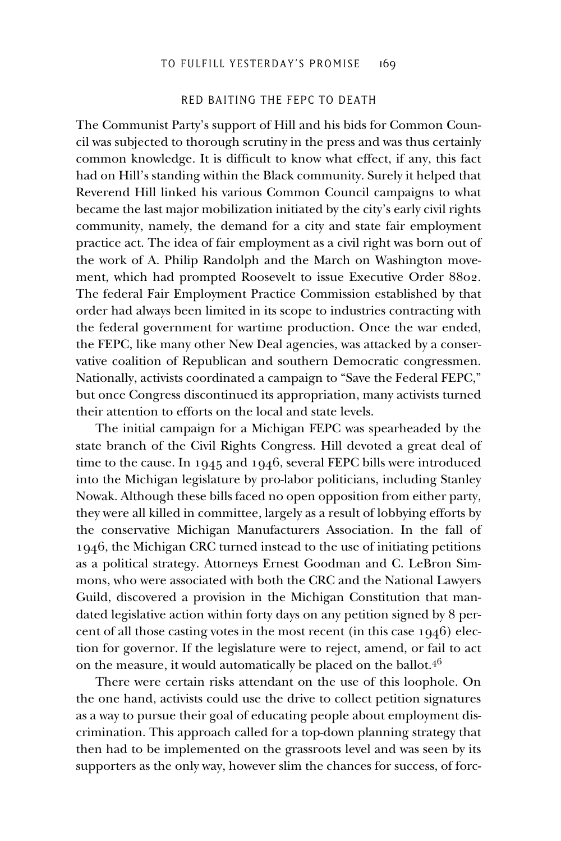#### RED BAITING THE FEPC TO DEATH

The Communist Party's support of Hill and his bids for Common Council was subjected to thorough scrutiny in the press and was thus certainly common knowledge. It is difficult to know what effect, if any, this fact had on Hill's standing within the Black community. Surely it helped that Reverend Hill linked his various Common Council campaigns to what became the last major mobilization initiated by the city's early civil rights community, namely, the demand for a city and state fair employment practice act. The idea of fair employment as a civil right was born out of the work of A. Philip Randolph and the March on Washington movement, which had prompted Roosevelt to issue Executive Order 8802. The federal Fair Employment Practice Commission established by that order had always been limited in its scope to industries contracting with the federal government for wartime production. Once the war ended, the FEPC, like many other New Deal agencies, was attacked by a conservative coalition of Republican and southern Democratic congressmen. Nationally, activists coordinated a campaign to "Save the Federal FEPC," but once Congress discontinued its appropriation, many activists turned their attention to efforts on the local and state levels.

The initial campaign for a Michigan FEPC was spearheaded by the state branch of the Civil Rights Congress. Hill devoted a great deal of time to the cause. In 1945 and 1946, several FEPC bills were introduced into the Michigan legislature by pro-labor politicians, including Stanley Nowak. Although these bills faced no open opposition from either party, they were all killed in committee, largely as a result of lobbying efforts by the conservative Michigan Manufacturers Association. In the fall of 1946, the Michigan CRC turned instead to the use of initiating petitions as a political strategy. Attorneys Ernest Goodman and C. LeBron Simmons, who were associated with both the CRC and the National Lawyers Guild, discovered a provision in the Michigan Constitution that mandated legislative action within forty days on any petition signed by 8 percent of all those casting votes in the most recent (in this case 1946) election for governor. If the legislature were to reject, amend, or fail to act on the measure, it would automatically be placed on the ballot.<sup>46</sup>

There were certain risks attendant on the use of this loophole. On the one hand, activists could use the drive to collect petition signatures as a way to pursue their goal of educating people about employment discrimination. This approach called for a top-down planning strategy that then had to be implemented on the grassroots level and was seen by its supporters as the only way, however slim the chances for success, of forc-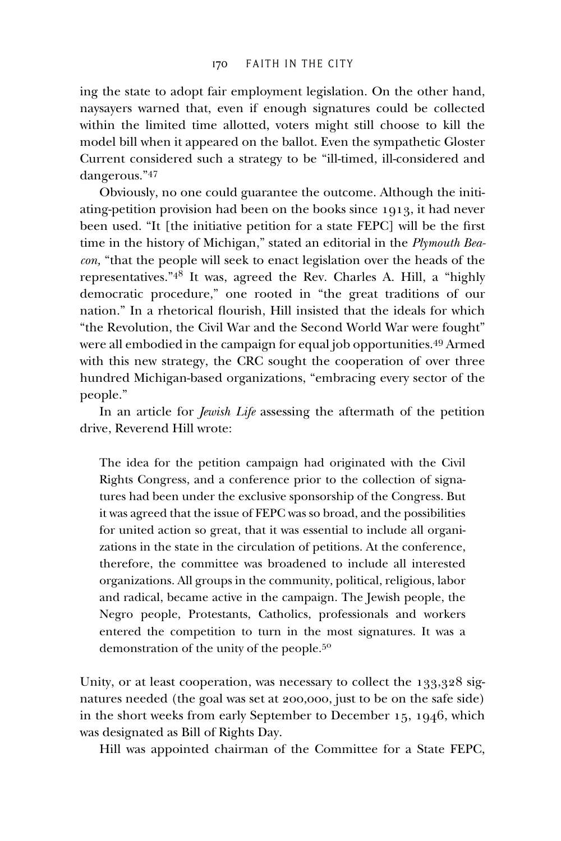ing the state to adopt fair employment legislation. On the other hand, naysayers warned that, even if enough signatures could be collected within the limited time allotted, voters might still choose to kill the model bill when it appeared on the ballot. Even the sympathetic Gloster Current considered such a strategy to be "ill-timed, ill-considered and dangerous."47

Obviously, no one could guarantee the outcome. Although the initiating-petition provision had been on the books since 1913, it had never been used. "It [the initiative petition for a state FEPC] will be the first time in the history of Michigan," stated an editorial in the *Plymouth Beacon,* "that the people will seek to enact legislation over the heads of the representatives."48 It was, agreed the Rev. Charles A. Hill, a "highly democratic procedure," one rooted in "the great traditions of our nation." In a rhetorical flourish, Hill insisted that the ideals for which "the Revolution, the Civil War and the Second World War were fought" were all embodied in the campaign for equal job opportunities.<sup>49</sup> Armed with this new strategy, the CRC sought the cooperation of over three hundred Michigan-based organizations, "embracing every sector of the people."

In an article for *Jewish Life* assessing the aftermath of the petition drive, Reverend Hill wrote:

The idea for the petition campaign had originated with the Civil Rights Congress, and a conference prior to the collection of signatures had been under the exclusive sponsorship of the Congress. But it was agreed that the issue of FEPC was so broad, and the possibilities for united action so great, that it was essential to include all organizations in the state in the circulation of petitions. At the conference, therefore, the committee was broadened to include all interested organizations. All groups in the community, political, religious, labor and radical, became active in the campaign. The Jewish people, the Negro people, Protestants, Catholics, professionals and workers entered the competition to turn in the most signatures. It was a demonstration of the unity of the people.<sup>50</sup>

Unity, or at least cooperation, was necessary to collect the 133,328 signatures needed (the goal was set at 200,000, just to be on the safe side) in the short weeks from early September to December 15, 1946, which was designated as Bill of Rights Day.

Hill was appointed chairman of the Committee for a State FEPC,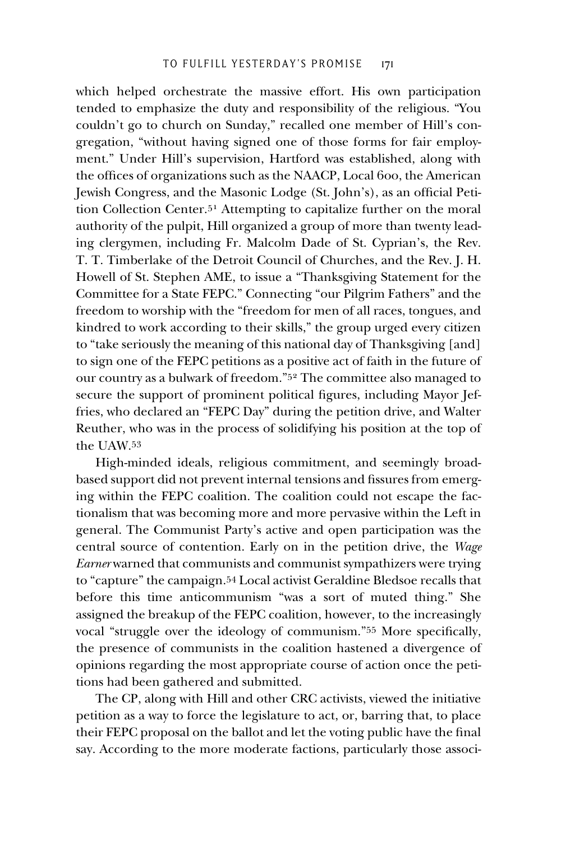which helped orchestrate the massive effort. His own participation tended to emphasize the duty and responsibility of the religious. "You couldn't go to church on Sunday," recalled one member of Hill's congregation, "without having signed one of those forms for fair employment." Under Hill's supervision, Hartford was established, along with the offices of organizations such as the NAACP, Local 600, the American Jewish Congress, and the Masonic Lodge (St. John's), as an official Petition Collection Center.<sup>51</sup> Attempting to capitalize further on the moral authority of the pulpit, Hill organized a group of more than twenty leading clergymen, including Fr. Malcolm Dade of St. Cyprian's, the Rev. T. T. Timberlake of the Detroit Council of Churches, and the Rev. J. H. Howell of St. Stephen AME, to issue a "Thanksgiving Statement for the Committee for a State FEPC." Connecting "our Pilgrim Fathers" and the freedom to worship with the "freedom for men of all races, tongues, and kindred to work according to their skills," the group urged every citizen to "take seriously the meaning of this national day of Thanksgiving [and] to sign one of the FEPC petitions as a positive act of faith in the future of our country as a bulwark of freedom."52 The committee also managed to secure the support of prominent political figures, including Mayor Jeffries, who declared an "FEPC Day" during the petition drive, and Walter Reuther, who was in the process of solidifying his position at the top of the UAW.<sup>53</sup>

High-minded ideals, religious commitment, and seemingly broadbased support did not prevent internal tensions and fissures from emerging within the FEPC coalition. The coalition could not escape the factionalism that was becoming more and more pervasive within the Left in general. The Communist Party's active and open participation was the central source of contention. Early on in the petition drive, the *Wage Earner* warned that communists and communist sympathizers were trying to "capture" the campaign.54 Local activist Geraldine Bledsoe recalls that before this time anticommunism "was a sort of muted thing." She assigned the breakup of the FEPC coalition, however, to the increasingly vocal "struggle over the ideology of communism."<sup>55</sup> More specifically, the presence of communists in the coalition hastened a divergence of opinions regarding the most appropriate course of action once the petitions had been gathered and submitted.

The CP, along with Hill and other CRC activists, viewed the initiative petition as a way to force the legislature to act, or, barring that, to place their FEPC proposal on the ballot and let the voting public have the final say. According to the more moderate factions, particularly those associ-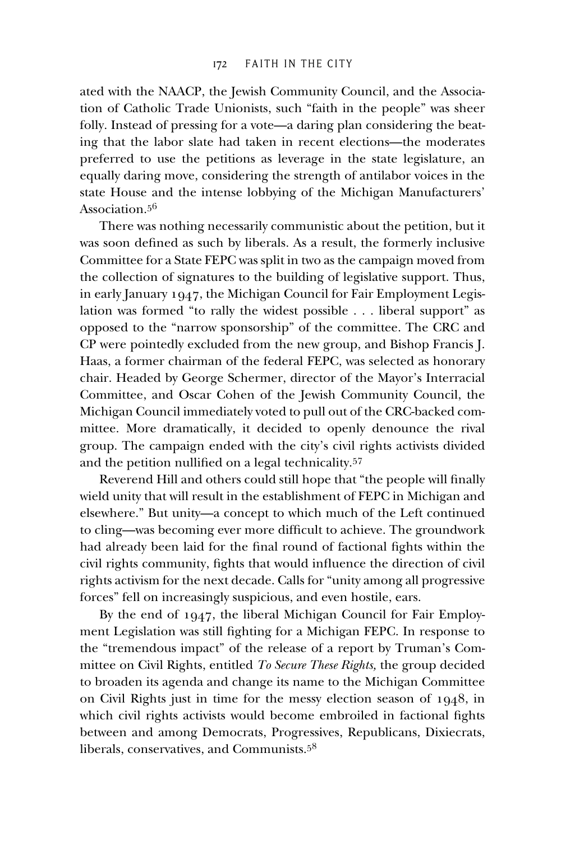ated with the NAACP, the Jewish Community Council, and the Association of Catholic Trade Unionists, such "faith in the people" was sheer folly. Instead of pressing for a vote—a daring plan considering the beating that the labor slate had taken in recent elections—the moderates preferred to use the petitions as leverage in the state legislature, an equally daring move, considering the strength of antilabor voices in the state House and the intense lobbying of the Michigan Manufacturers' Association.<sup>56</sup>

There was nothing necessarily communistic about the petition, but it was soon defined as such by liberals. As a result, the formerly inclusive Committee for a State FEPC was split in two as the campaign moved from the collection of signatures to the building of legislative support. Thus, in early January 1947, the Michigan Council for Fair Employment Legislation was formed "to rally the widest possible . . . liberal support" as opposed to the "narrow sponsorship" of the committee. The CRC and CP were pointedly excluded from the new group, and Bishop Francis J. Haas, a former chairman of the federal FEPC, was selected as honorary chair. Headed by George Schermer, director of the Mayor's Interracial Committee, and Oscar Cohen of the Jewish Community Council, the Michigan Council immediately voted to pull out of the CRC-backed committee. More dramatically, it decided to openly denounce the rival group. The campaign ended with the city's civil rights activists divided and the petition nullified on a legal technicality.<sup>57</sup>

Reverend Hill and others could still hope that "the people will finally wield unity that will result in the establishment of FEPC in Michigan and elsewhere." But unity—a concept to which much of the Left continued to cling—was becoming ever more difficult to achieve. The groundwork had already been laid for the final round of factional fights within the civil rights community, fights that would influence the direction of civil rights activism for the next decade. Calls for "unity among all progressive forces" fell on increasingly suspicious, and even hostile, ears.

By the end of 1947, the liberal Michigan Council for Fair Employment Legislation was still fighting for a Michigan FEPC. In response to the "tremendous impact" of the release of a report by Truman's Committee on Civil Rights, entitled *To Secure These Rights,* the group decided to broaden its agenda and change its name to the Michigan Committee on Civil Rights just in time for the messy election season of 1948, in which civil rights activists would become embroiled in factional fights between and among Democrats, Progressives, Republicans, Dixiecrats, liberals, conservatives, and Communists.58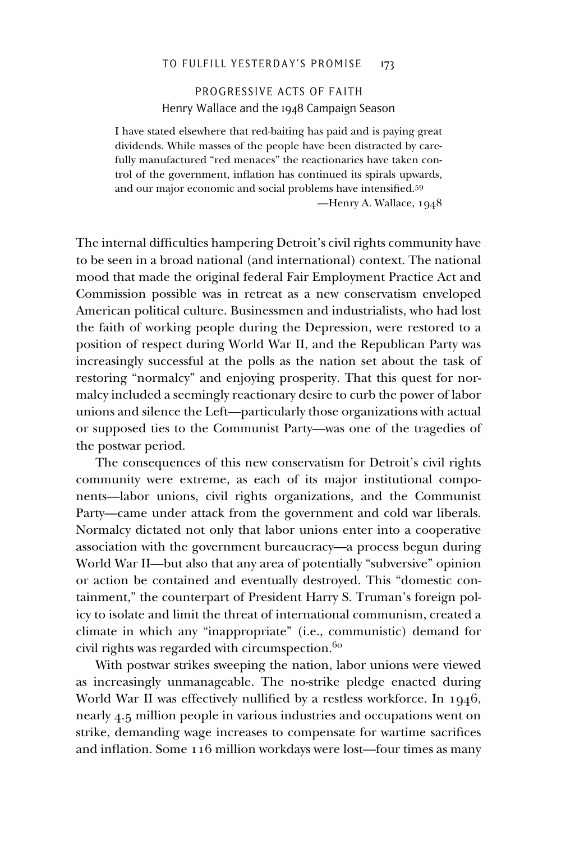### PROGRESSIVE ACTS OF FAITH Henry Wallace and the 1948 Campaign Season

I have stated elsewhere that red-baiting has paid and is paying great dividends. While masses of the people have been distracted by carefully manufactured "red menaces" the reactionaries have taken control of the government, inflation has continued its spirals upwards, and our major economic and social problems have intensified.<sup>59</sup>

—Henry A. Wallace, 1948

The internal difficulties hampering Detroit's civil rights community have to be seen in a broad national (and international) context. The national mood that made the original federal Fair Employment Practice Act and Commission possible was in retreat as a new conservatism enveloped American political culture. Businessmen and industrialists, who had lost the faith of working people during the Depression, were restored to a position of respect during World War II, and the Republican Party was increasingly successful at the polls as the nation set about the task of restoring "normalcy" and enjoying prosperity. That this quest for normalcy included a seemingly reactionary desire to curb the power of labor unions and silence the Left—particularly those organizations with actual or supposed ties to the Communist Party—was one of the tragedies of the postwar period.

The consequences of this new conservatism for Detroit's civil rights community were extreme, as each of its major institutional components—labor unions, civil rights organizations, and the Communist Party—came under attack from the government and cold war liberals. Normalcy dictated not only that labor unions enter into a cooperative association with the government bureaucracy—a process begun during World War II—but also that any area of potentially "subversive" opinion or action be contained and eventually destroyed. This "domestic containment," the counterpart of President Harry S. Truman's foreign policy to isolate and limit the threat of international communism, created a climate in which any "inappropriate" (i.e., communistic) demand for civil rights was regarded with circumspection.<sup>60</sup>

With postwar strikes sweeping the nation, labor unions were viewed as increasingly unmanageable. The no-strike pledge enacted during World War II was effectively nullified by a restless workforce. In  $1946$ , nearly 4.5 million people in various industries and occupations went on strike, demanding wage increases to compensate for wartime sacrifices and inflation. Some 116 million workdays were lost—four times as many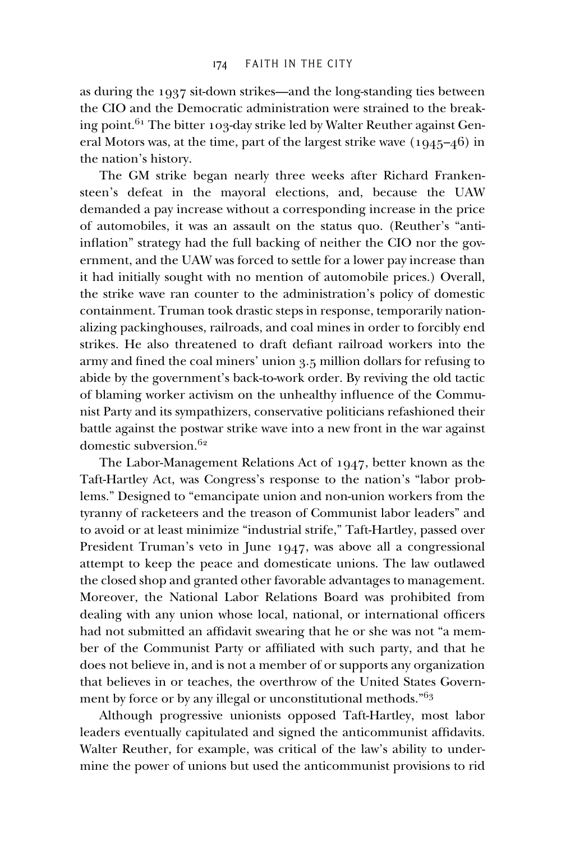as during the 1937 sit-down strikes—and the long-standing ties between the CIO and the Democratic administration were strained to the breaking point.<sup>61</sup> The bitter 103-day strike led by Walter Reuther against General Motors was, at the time, part of the largest strike wave (1945–46) in the nation's history.

The GM strike began nearly three weeks after Richard Frankensteen's defeat in the mayoral elections, and, because the UAW demanded a pay increase without a corresponding increase in the price of automobiles, it was an assault on the status quo. (Reuther's "antiinflation" strategy had the full backing of neither the CIO nor the government, and the UAW was forced to settle for a lower pay increase than it had initially sought with no mention of automobile prices.) Overall, the strike wave ran counter to the administration's policy of domestic containment. Truman took drastic steps in response, temporarily nationalizing packinghouses, railroads, and coal mines in order to forcibly end strikes. He also threatened to draft defiant railroad workers into the army and fined the coal miners' union 3.5 million dollars for refusing to abide by the government's back-to-work order. By reviving the old tactic of blaming worker activism on the unhealthy influence of the Communist Party and its sympathizers, conservative politicians refashioned their battle against the postwar strike wave into a new front in the war against domestic subversion.<sup>62</sup>

The Labor-Management Relations Act of 1947, better known as the Taft-Hartley Act, was Congress's response to the nation's "labor problems." Designed to "emancipate union and non-union workers from the tyranny of racketeers and the treason of Communist labor leaders" and to avoid or at least minimize "industrial strife," Taft-Hartley, passed over President Truman's veto in June 1947, was above all a congressional attempt to keep the peace and domesticate unions. The law outlawed the closed shop and granted other favorable advantages to management. Moreover, the National Labor Relations Board was prohibited from dealing with any union whose local, national, or international officers had not submitted an affidavit swearing that he or she was not "a member of the Communist Party or affiliated with such party, and that he does not believe in, and is not a member of or supports any organization that believes in or teaches, the overthrow of the United States Government by force or by any illegal or unconstitutional methods.<sup>"63</sup>

Although progressive unionists opposed Taft-Hartley, most labor leaders eventually capitulated and signed the anticommunist affidavits. Walter Reuther, for example, was critical of the law's ability to undermine the power of unions but used the anticommunist provisions to rid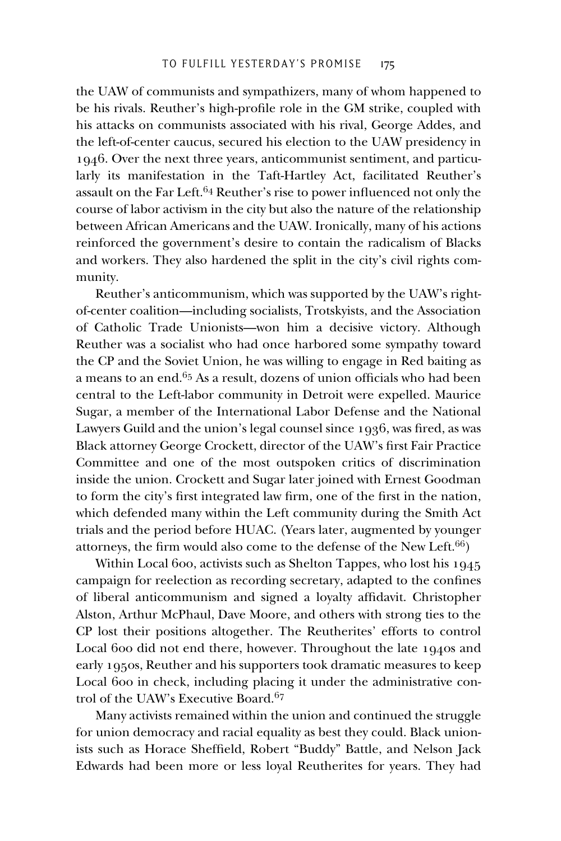the UAW of communists and sympathizers, many of whom happened to be his rivals. Reuther's high-profile role in the GM strike, coupled with his attacks on communists associated with his rival, George Addes, and the left-of-center caucus, secured his election to the UAW presidency in 1946. Over the next three years, anticommunist sentiment, and particularly its manifestation in the Taft-Hartley Act, facilitated Reuther's assault on the Far Left. $64$  Reuther's rise to power influenced not only the course of labor activism in the city but also the nature of the relationship between African Americans and the UAW. Ironically, many of his actions reinforced the government's desire to contain the radicalism of Blacks and workers. They also hardened the split in the city's civil rights community.

Reuther's anticommunism, which was supported by the UAW's rightof-center coalition—including socialists, Trotskyists, and the Association of Catholic Trade Unionists—won him a decisive victory. Although Reuther was a socialist who had once harbored some sympathy toward the CP and the Soviet Union, he was willing to engage in Red baiting as a means to an end. $65$  As a result, dozens of union officials who had been central to the Left-labor community in Detroit were expelled. Maurice Sugar, a member of the International Labor Defense and the National Lawyers Guild and the union's legal counsel since 1936, was fired, as was Black attorney George Crockett, director of the UAW's first Fair Practice Committee and one of the most outspoken critics of discrimination inside the union. Crockett and Sugar later joined with Ernest Goodman to form the city's first integrated law firm, one of the first in the nation, which defended many within the Left community during the Smith Act trials and the period before HUAC. (Years later, augmented by younger attorneys, the firm would also come to the defense of the New Left.<sup>66</sup>)

Within Local 600, activists such as Shelton Tappes, who lost his 1945 campaign for reelection as recording secretary, adapted to the confines of liberal anticommunism and signed a loyalty affidavit. Christopher Alston, Arthur McPhaul, Dave Moore, and others with strong ties to the CP lost their positions altogether. The Reutherites' efforts to control Local 600 did not end there, however. Throughout the late 1940s and early 1950s, Reuther and his supporters took dramatic measures to keep Local 600 in check, including placing it under the administrative control of the UAW's Executive Board.<sup>67</sup>

Many activists remained within the union and continued the struggle for union democracy and racial equality as best they could. Black unionists such as Horace Sheffield, Robert "Buddy" Battle, and Nelson Jack Edwards had been more or less loyal Reutherites for years. They had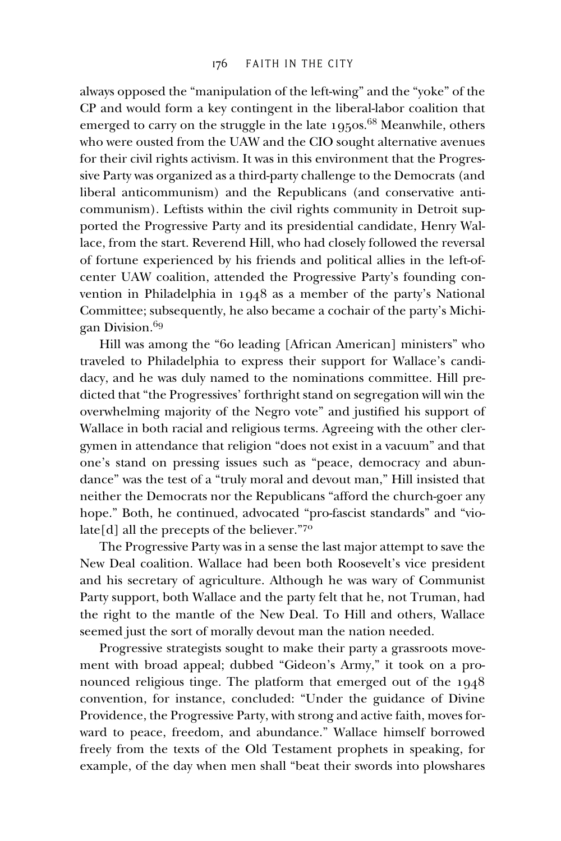always opposed the "manipulation of the left-wing" and the "yoke" of the CP and would form a key contingent in the liberal-labor coalition that emerged to carry on the struggle in the late 1950s.<sup>68</sup> Meanwhile, others who were ousted from the UAW and the CIO sought alternative avenues for their civil rights activism. It was in this environment that the Progressive Party was organized as a third-party challenge to the Democrats (and liberal anticommunism) and the Republicans (and conservative anticommunism). Leftists within the civil rights community in Detroit supported the Progressive Party and its presidential candidate, Henry Wallace, from the start. Reverend Hill, who had closely followed the reversal of fortune experienced by his friends and political allies in the left-ofcenter UAW coalition, attended the Progressive Party's founding convention in Philadelphia in 1948 as a member of the party's National Committee; subsequently, he also became a cochair of the party's Michigan Division.<sup>69</sup>

Hill was among the "60 leading [African American] ministers" who traveled to Philadelphia to express their support for Wallace's candidacy, and he was duly named to the nominations committee. Hill predicted that "the Progressives' forthright stand on segregation will win the overwhelming majority of the Negro vote" and justified his support of Wallace in both racial and religious terms. Agreeing with the other clergymen in attendance that religion "does not exist in a vacuum" and that one's stand on pressing issues such as "peace, democracy and abundance" was the test of a "truly moral and devout man," Hill insisted that neither the Democrats nor the Republicans "afford the church-goer any hope." Both, he continued, advocated "pro-fascist standards" and "violate[d] all the precepts of the believer."70

The Progressive Party was in a sense the last major attempt to save the New Deal coalition. Wallace had been both Roosevelt's vice president and his secretary of agriculture. Although he was wary of Communist Party support, both Wallace and the party felt that he, not Truman, had the right to the mantle of the New Deal. To Hill and others, Wallace seemed just the sort of morally devout man the nation needed.

Progressive strategists sought to make their party a grassroots movement with broad appeal; dubbed "Gideon's Army," it took on a pronounced religious tinge. The platform that emerged out of the 1948 convention, for instance, concluded: "Under the guidance of Divine Providence, the Progressive Party, with strong and active faith, moves forward to peace, freedom, and abundance." Wallace himself borrowed freely from the texts of the Old Testament prophets in speaking, for example, of the day when men shall "beat their swords into plowshares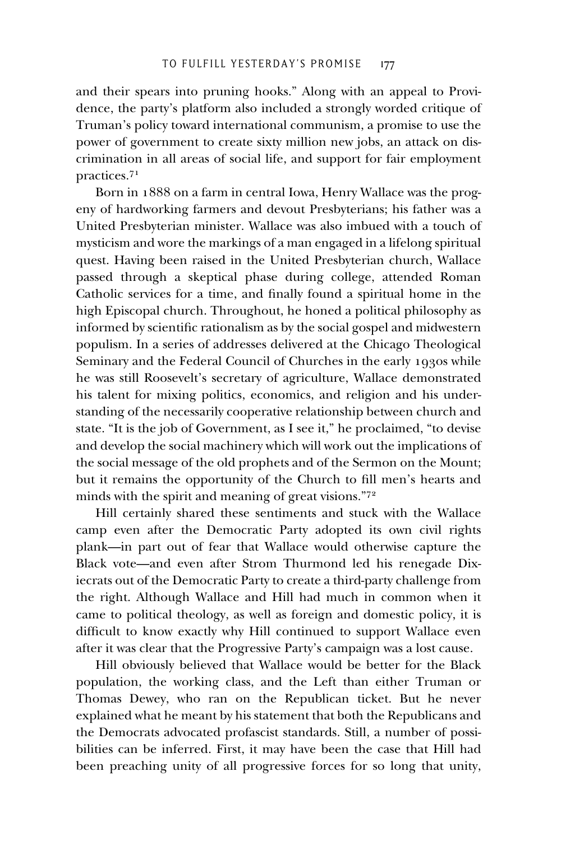and their spears into pruning hooks." Along with an appeal to Providence, the party's platform also included a strongly worded critique of Truman's policy toward international communism, a promise to use the power of government to create sixty million new jobs, an attack on discrimination in all areas of social life, and support for fair employment practices.71

Born in 1888 on a farm in central Iowa, Henry Wallace was the progeny of hardworking farmers and devout Presbyterians; his father was a United Presbyterian minister. Wallace was also imbued with a touch of mysticism and wore the markings of a man engaged in a lifelong spiritual quest. Having been raised in the United Presbyterian church, Wallace passed through a skeptical phase during college, attended Roman Catholic services for a time, and finally found a spiritual home in the high Episcopal church. Throughout, he honed a political philosophy as informed by scientific rationalism as by the social gospel and midwestern populism. In a series of addresses delivered at the Chicago Theological Seminary and the Federal Council of Churches in the early 1930s while he was still Roosevelt's secretary of agriculture, Wallace demonstrated his talent for mixing politics, economics, and religion and his understanding of the necessarily cooperative relationship between church and state. "It is the job of Government, as I see it," he proclaimed, "to devise and develop the social machinery which will work out the implications of the social message of the old prophets and of the Sermon on the Mount; but it remains the opportunity of the Church to fill men's hearts and minds with the spirit and meaning of great visions."<sup>72</sup>

Hill certainly shared these sentiments and stuck with the Wallace camp even after the Democratic Party adopted its own civil rights plank—in part out of fear that Wallace would otherwise capture the Black vote—and even after Strom Thurmond led his renegade Dixiecrats out of the Democratic Party to create a third-party challenge from the right. Although Wallace and Hill had much in common when it came to political theology, as well as foreign and domestic policy, it is difficult to know exactly why Hill continued to support Wallace even after it was clear that the Progressive Party's campaign was a lost cause.

Hill obviously believed that Wallace would be better for the Black population, the working class, and the Left than either Truman or Thomas Dewey, who ran on the Republican ticket. But he never explained what he meant by his statement that both the Republicans and the Democrats advocated profascist standards. Still, a number of possibilities can be inferred. First, it may have been the case that Hill had been preaching unity of all progressive forces for so long that unity,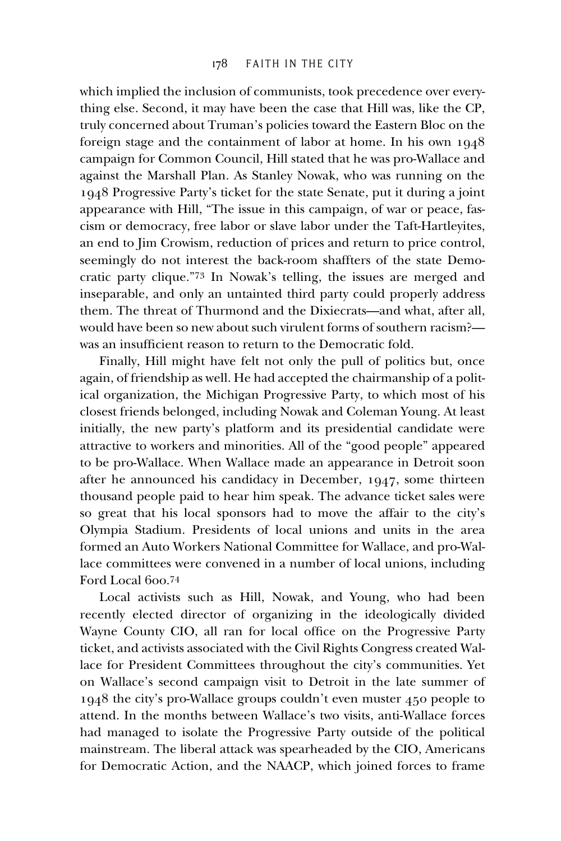which implied the inclusion of communists, took precedence over everything else. Second, it may have been the case that Hill was, like the CP, truly concerned about Truman's policies toward the Eastern Bloc on the foreign stage and the containment of labor at home. In his own 1948 campaign for Common Council, Hill stated that he was pro-Wallace and against the Marshall Plan. As Stanley Nowak, who was running on the 1948 Progressive Party's ticket for the state Senate, put it during a joint appearance with Hill, "The issue in this campaign, of war or peace, fascism or democracy, free labor or slave labor under the Taft-Hartleyites, an end to Jim Crowism, reduction of prices and return to price control, seemingly do not interest the back-room shaffters of the state Democratic party clique."73 In Nowak's telling, the issues are merged and inseparable, and only an untainted third party could properly address them. The threat of Thurmond and the Dixiecrats—and what, after all, would have been so new about such virulent forms of southern racism? was an insufficient reason to return to the Democratic fold.

Finally, Hill might have felt not only the pull of politics but, once again, of friendship as well. He had accepted the chairmanship of a political organization, the Michigan Progressive Party, to which most of his closest friends belonged, including Nowak and Coleman Young. At least initially, the new party's platform and its presidential candidate were attractive to workers and minorities. All of the "good people" appeared to be pro-Wallace. When Wallace made an appearance in Detroit soon after he announced his candidacy in December, 1947, some thirteen thousand people paid to hear him speak. The advance ticket sales were so great that his local sponsors had to move the affair to the city's Olympia Stadium. Presidents of local unions and units in the area formed an Auto Workers National Committee for Wallace, and pro-Wallace committees were convened in a number of local unions, including Ford Local 600.74

Local activists such as Hill, Nowak, and Young, who had been recently elected director of organizing in the ideologically divided Wayne County CIO, all ran for local office on the Progressive Party ticket, and activists associated with the Civil Rights Congress created Wallace for President Committees throughout the city's communities. Yet on Wallace's second campaign visit to Detroit in the late summer of 1948 the city's pro-Wallace groups couldn't even muster 450 people to attend. In the months between Wallace's two visits, anti-Wallace forces had managed to isolate the Progressive Party outside of the political mainstream. The liberal attack was spearheaded by the CIO, Americans for Democratic Action, and the NAACP, which joined forces to frame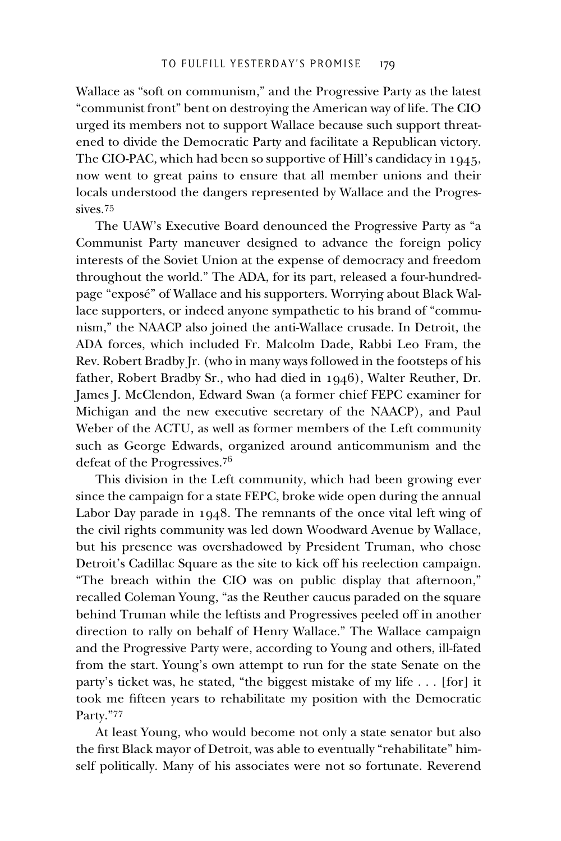Wallace as "soft on communism," and the Progressive Party as the latest "communist front" bent on destroying the American way of life. The CIO urged its members not to support Wallace because such support threatened to divide the Democratic Party and facilitate a Republican victory. The CIO-PAC, which had been so supportive of Hill's candidacy in 1945, now went to great pains to ensure that all member unions and their locals understood the dangers represented by Wallace and the Progressives.<sup>75</sup>

The UAW's Executive Board denounced the Progressive Party as "a Communist Party maneuver designed to advance the foreign policy interests of the Soviet Union at the expense of democracy and freedom throughout the world." The ADA, for its part, released a four-hundredpage "exposé" of Wallace and his supporters. Worrying about Black Wallace supporters, or indeed anyone sympathetic to his brand of "communism," the NAACP also joined the anti-Wallace crusade. In Detroit, the ADA forces, which included Fr. Malcolm Dade, Rabbi Leo Fram, the Rev. Robert Bradby Jr. (who in many ways followed in the footsteps of his father, Robert Bradby Sr., who had died in 1946), Walter Reuther, Dr. James J. McClendon, Edward Swan (a former chief FEPC examiner for Michigan and the new executive secretary of the NAACP), and Paul Weber of the ACTU, as well as former members of the Left community such as George Edwards, organized around anticommunism and the defeat of the Progressives.76

This division in the Left community, which had been growing ever since the campaign for a state FEPC, broke wide open during the annual Labor Day parade in 1948. The remnants of the once vital left wing of the civil rights community was led down Woodward Avenue by Wallace, but his presence was overshadowed by President Truman, who chose Detroit's Cadillac Square as the site to kick off his reelection campaign. "The breach within the CIO was on public display that afternoon," recalled Coleman Young, "as the Reuther caucus paraded on the square behind Truman while the leftists and Progressives peeled off in another direction to rally on behalf of Henry Wallace." The Wallace campaign and the Progressive Party were, according to Young and others, ill-fated from the start. Young's own attempt to run for the state Senate on the party's ticket was, he stated, "the biggest mistake of my life . . . [for] it took me fifteen years to rehabilitate my position with the Democratic Party."77

At least Young, who would become not only a state senator but also the first Black mayor of Detroit, was able to eventually "rehabilitate" himself politically. Many of his associates were not so fortunate. Reverend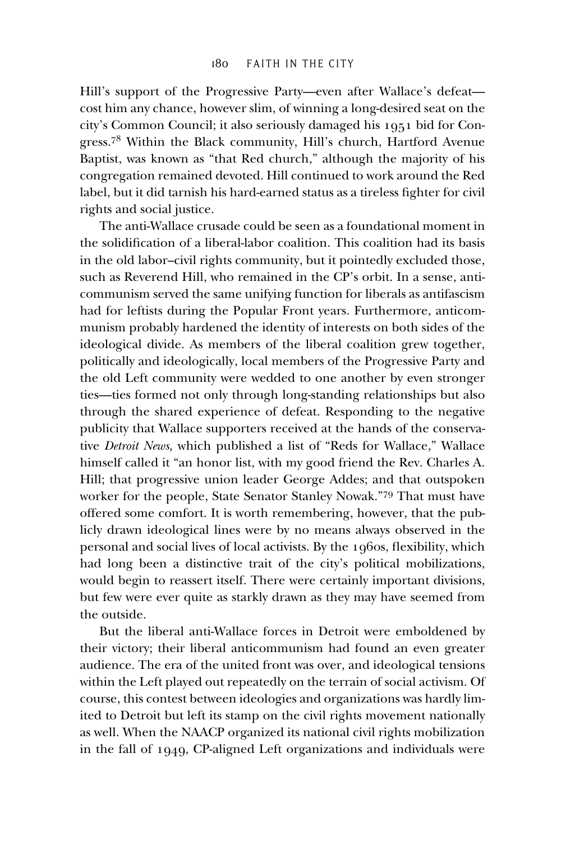Hill's support of the Progressive Party—even after Wallace's defeat cost him any chance, however slim, of winning a long-desired seat on the city's Common Council; it also seriously damaged his 1951 bid for Congress.<sup>78</sup> Within the Black community, Hill's church, Hartford Avenue Baptist, was known as "that Red church," although the majority of his congregation remained devoted. Hill continued to work around the Red label, but it did tarnish his hard-earned status as a tireless fighter for civil rights and social justice.

The anti-Wallace crusade could be seen as a foundational moment in the solidification of a liberal-labor coalition. This coalition had its basis in the old labor–civil rights community, but it pointedly excluded those, such as Reverend Hill, who remained in the CP's orbit. In a sense, anticommunism served the same unifying function for liberals as antifascism had for leftists during the Popular Front years. Furthermore, anticommunism probably hardened the identity of interests on both sides of the ideological divide. As members of the liberal coalition grew together, politically and ideologically, local members of the Progressive Party and the old Left community were wedded to one another by even stronger ties—ties formed not only through long-standing relationships but also through the shared experience of defeat. Responding to the negative publicity that Wallace supporters received at the hands of the conservative *Detroit News,* which published a list of "Reds for Wallace," Wallace himself called it "an honor list, with my good friend the Rev. Charles A. Hill; that progressive union leader George Addes; and that outspoken worker for the people, State Senator Stanley Nowak."79 That must have offered some comfort. It is worth remembering, however, that the publicly drawn ideological lines were by no means always observed in the personal and social lives of local activists. By the 1960s, flexibility, which had long been a distinctive trait of the city's political mobilizations, would begin to reassert itself. There were certainly important divisions, but few were ever quite as starkly drawn as they may have seemed from the outside.

But the liberal anti-Wallace forces in Detroit were emboldened by their victory; their liberal anticommunism had found an even greater audience. The era of the united front was over, and ideological tensions within the Left played out repeatedly on the terrain of social activism. Of course, this contest between ideologies and organizations was hardly limited to Detroit but left its stamp on the civil rights movement nationally as well. When the NAACP organized its national civil rights mobilization in the fall of 1949, CP-aligned Left organizations and individuals were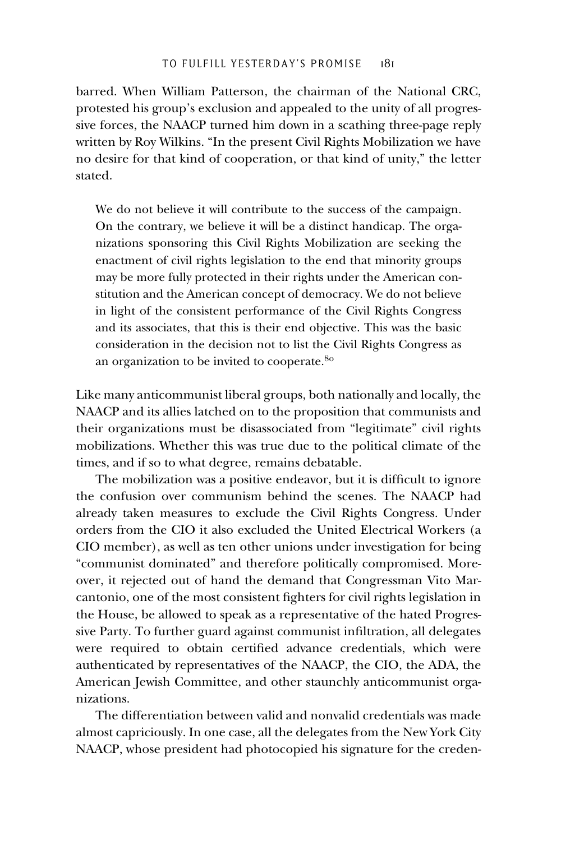barred. When William Patterson, the chairman of the National CRC, protested his group's exclusion and appealed to the unity of all progressive forces, the NAACP turned him down in a scathing three-page reply written by Roy Wilkins. "In the present Civil Rights Mobilization we have no desire for that kind of cooperation, or that kind of unity," the letter stated.

We do not believe it will contribute to the success of the campaign. On the contrary, we believe it will be a distinct handicap. The organizations sponsoring this Civil Rights Mobilization are seeking the enactment of civil rights legislation to the end that minority groups may be more fully protected in their rights under the American constitution and the American concept of democracy. We do not believe in light of the consistent performance of the Civil Rights Congress and its associates, that this is their end objective. This was the basic consideration in the decision not to list the Civil Rights Congress as an organization to be invited to cooperate.<sup>80</sup>

Like many anticommunist liberal groups, both nationally and locally, the NAACP and its allies latched on to the proposition that communists and their organizations must be disassociated from "legitimate" civil rights mobilizations. Whether this was true due to the political climate of the times, and if so to what degree, remains debatable.

The mobilization was a positive endeavor, but it is difficult to ignore the confusion over communism behind the scenes. The NAACP had already taken measures to exclude the Civil Rights Congress. Under orders from the CIO it also excluded the United Electrical Workers (a CIO member), as well as ten other unions under investigation for being "communist dominated" and therefore politically compromised. Moreover, it rejected out of hand the demand that Congressman Vito Marcantonio, one of the most consistent fighters for civil rights legislation in the House, be allowed to speak as a representative of the hated Progressive Party. To further guard against communist infiltration, all delegates were required to obtain certified advance credentials, which were authenticated by representatives of the NAACP, the CIO, the ADA, the American Jewish Committee, and other staunchly anticommunist organizations.

The differentiation between valid and nonvalid credentials was made almost capriciously. In one case, all the delegates from the New York City NAACP, whose president had photocopied his signature for the creden-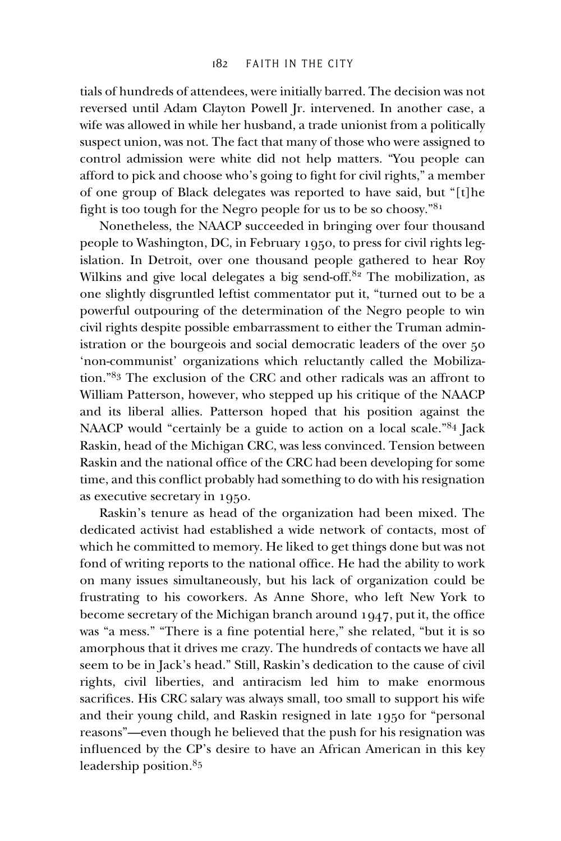tials of hundreds of attendees, were initially barred. The decision was not reversed until Adam Clayton Powell Jr. intervened. In another case, a wife was allowed in while her husband, a trade unionist from a politically suspect union, was not. The fact that many of those who were assigned to control admission were white did not help matters. "You people can afford to pick and choose who's going to fight for civil rights," a member of one group of Black delegates was reported to have said, but "[t]he fight is too tough for the Negro people for us to be so choosy." $81$ 

Nonetheless, the NAACP succeeded in bringing over four thousand people to Washington, DC, in February 1950, to press for civil rights legislation. In Detroit, over one thousand people gathered to hear Roy Wilkins and give local delegates a big send-off. $82$  The mobilization, as one slightly disgruntled leftist commentator put it, "turned out to be a powerful outpouring of the determination of the Negro people to win civil rights despite possible embarrassment to either the Truman administration or the bourgeois and social democratic leaders of the over 50 'non-communist' organizations which reluctantly called the Mobilization."<sup>83</sup> The exclusion of the CRC and other radicals was an affront to William Patterson, however, who stepped up his critique of the NAACP and its liberal allies. Patterson hoped that his position against the NAACP would "certainly be a guide to action on a local scale."84 Jack Raskin, head of the Michigan CRC, was less convinced. Tension between Raskin and the national office of the CRC had been developing for some time, and this conflict probably had something to do with his resignation as executive secretary in 1950.

Raskin's tenure as head of the organization had been mixed. The dedicated activist had established a wide network of contacts, most of which he committed to memory. He liked to get things done but was not fond of writing reports to the national office. He had the ability to work on many issues simultaneously, but his lack of organization could be frustrating to his coworkers. As Anne Shore, who left New York to become secretary of the Michigan branch around  $1947$ , put it, the office was "a mess." "There is a fine potential here," she related, "but it is so amorphous that it drives me crazy. The hundreds of contacts we have all seem to be in Jack's head." Still, Raskin's dedication to the cause of civil rights, civil liberties, and antiracism led him to make enormous sacrifices. His CRC salary was always small, too small to support his wife and their young child, and Raskin resigned in late 1950 for "personal reasons"—even though he believed that the push for his resignation was influenced by the CP's desire to have an African American in this key leadership position.<sup>85</sup>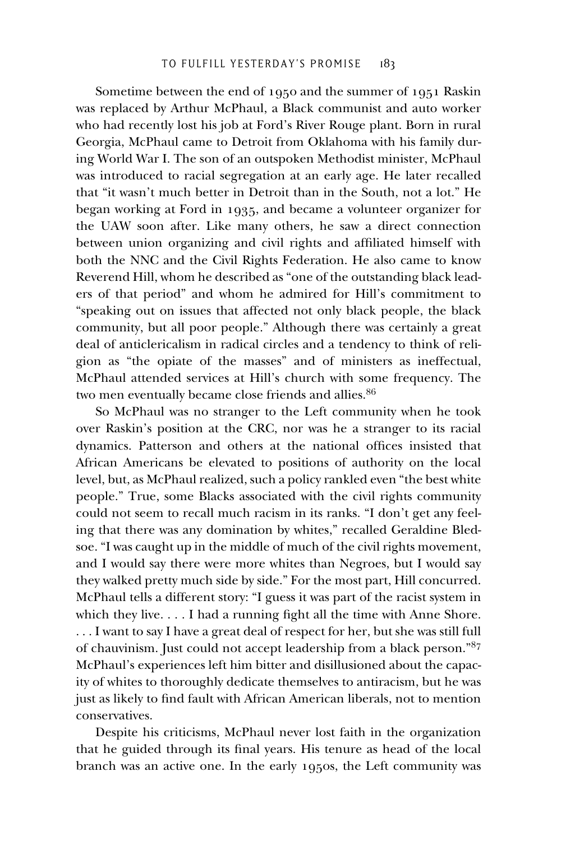Sometime between the end of 1950 and the summer of 1951 Raskin was replaced by Arthur McPhaul, a Black communist and auto worker who had recently lost his job at Ford's River Rouge plant. Born in rural Georgia, McPhaul came to Detroit from Oklahoma with his family during World War I. The son of an outspoken Methodist minister, McPhaul was introduced to racial segregation at an early age. He later recalled that "it wasn't much better in Detroit than in the South, not a lot." He began working at Ford in 1935, and became a volunteer organizer for the UAW soon after. Like many others, he saw a direct connection between union organizing and civil rights and affiliated himself with both the NNC and the Civil Rights Federation. He also came to know Reverend Hill, whom he described as "one of the outstanding black leaders of that period" and whom he admired for Hill's commitment to "speaking out on issues that affected not only black people, the black community, but all poor people." Although there was certainly a great deal of anticlericalism in radical circles and a tendency to think of religion as "the opiate of the masses" and of ministers as ineffectual, McPhaul attended services at Hill's church with some frequency. The two men eventually became close friends and allies.<sup>86</sup>

So McPhaul was no stranger to the Left community when he took over Raskin's position at the CRC, nor was he a stranger to its racial dynamics. Patterson and others at the national offices insisted that African Americans be elevated to positions of authority on the local level, but, as McPhaul realized, such a policy rankled even "the best white people." True, some Blacks associated with the civil rights community could not seem to recall much racism in its ranks. "I don't get any feeling that there was any domination by whites," recalled Geraldine Bledsoe. "I was caught up in the middle of much of the civil rights movement, and I would say there were more whites than Negroes, but I would say they walked pretty much side by side." For the most part, Hill concurred. McPhaul tells a different story: "I guess it was part of the racist system in which they live.  $\dots$  I had a running fight all the time with Anne Shore. . . . I want to say I have a great deal of respect for her, but she was still full of chauvinism. Just could not accept leadership from a black person."87 McPhaul's experiences left him bitter and disillusioned about the capacity of whites to thoroughly dedicate themselves to antiracism, but he was just as likely to find fault with African American liberals, not to mention conservatives.

Despite his criticisms, McPhaul never lost faith in the organization that he guided through its final years. His tenure as head of the local branch was an active one. In the early 1950s, the Left community was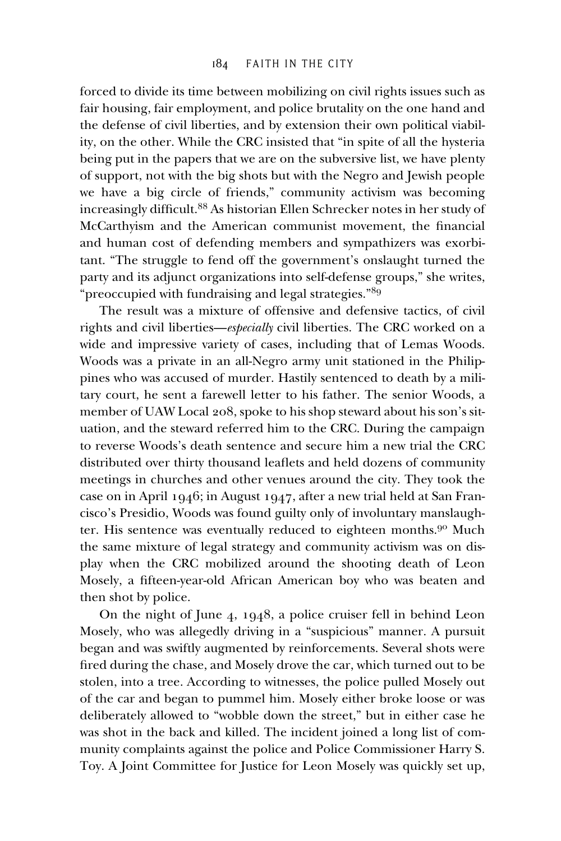forced to divide its time between mobilizing on civil rights issues such as fair housing, fair employment, and police brutality on the one hand and the defense of civil liberties, and by extension their own political viability, on the other. While the CRC insisted that "in spite of all the hysteria being put in the papers that we are on the subversive list, we have plenty of support, not with the big shots but with the Negro and Jewish people we have a big circle of friends," community activism was becoming increasingly difficult.<sup>88</sup> As historian Ellen Schrecker notes in her study of McCarthyism and the American communist movement, the financial and human cost of defending members and sympathizers was exorbitant. "The struggle to fend off the government's onslaught turned the party and its adjunct organizations into self-defense groups," she writes, "preoccupied with fundraising and legal strategies."<sup>89</sup>

The result was a mixture of offensive and defensive tactics, of civil rights and civil liberties—*especially* civil liberties. The CRC worked on a wide and impressive variety of cases, including that of Lemas Woods. Woods was a private in an all-Negro army unit stationed in the Philippines who was accused of murder. Hastily sentenced to death by a military court, he sent a farewell letter to his father. The senior Woods, a member of UAW Local 208, spoke to his shop steward about his son's situation, and the steward referred him to the CRC. During the campaign to reverse Woods's death sentence and secure him a new trial the CRC distributed over thirty thousand leaflets and held dozens of community meetings in churches and other venues around the city. They took the case on in April 1946; in August 1947, after a new trial held at San Francisco's Presidio, Woods was found guilty only of involuntary manslaughter. His sentence was eventually reduced to eighteen months.90 Much the same mixture of legal strategy and community activism was on display when the CRC mobilized around the shooting death of Leon Mosely, a fifteen-year-old African American boy who was beaten and then shot by police.

On the night of June 4, 1948, a police cruiser fell in behind Leon Mosely, who was allegedly driving in a "suspicious" manner. A pursuit began and was swiftly augmented by reinforcements. Several shots were fired during the chase, and Mosely drove the car, which turned out to be stolen, into a tree. According to witnesses, the police pulled Mosely out of the car and began to pummel him. Mosely either broke loose or was deliberately allowed to "wobble down the street," but in either case he was shot in the back and killed. The incident joined a long list of community complaints against the police and Police Commissioner Harry S. Toy. A Joint Committee for Justice for Leon Mosely was quickly set up,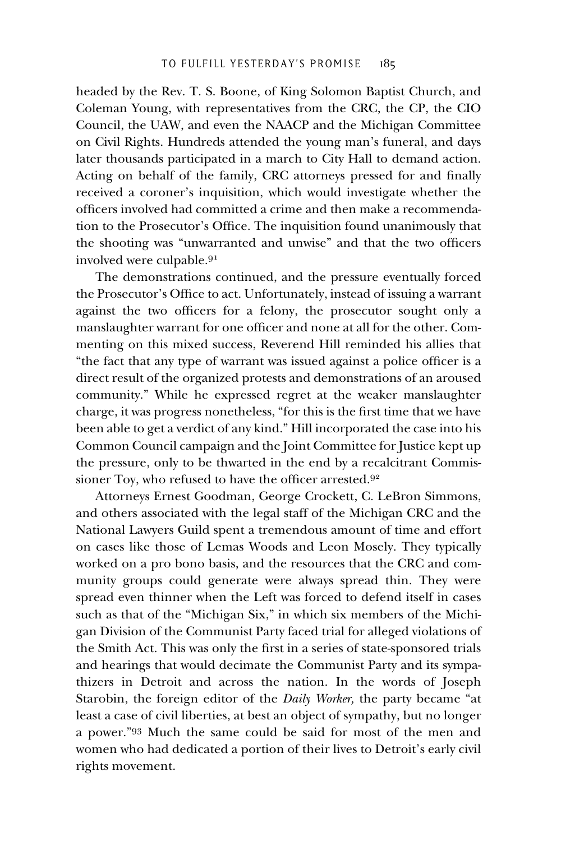headed by the Rev. T. S. Boone, of King Solomon Baptist Church, and Coleman Young, with representatives from the CRC, the CP, the CIO Council, the UAW, and even the NAACP and the Michigan Committee on Civil Rights. Hundreds attended the young man's funeral, and days later thousands participated in a march to City Hall to demand action. Acting on behalf of the family, CRC attorneys pressed for and finally received a coroner's inquisition, which would investigate whether the officers involved had committed a crime and then make a recommendation to the Prosecutor's Office. The inquisition found unanimously that the shooting was "unwarranted and unwise" and that the two officers involved were culpable.91

The demonstrations continued, and the pressure eventually forced the Prosecutor's Office to act. Unfortunately, instead of issuing a warrant against the two officers for a felony, the prosecutor sought only a manslaughter warrant for one officer and none at all for the other. Commenting on this mixed success, Reverend Hill reminded his allies that "the fact that any type of warrant was issued against a police officer is a direct result of the organized protests and demonstrations of an aroused community." While he expressed regret at the weaker manslaughter charge, it was progress nonetheless, "for this is the first time that we have been able to get a verdict of any kind." Hill incorporated the case into his Common Council campaign and the Joint Committee for Justice kept up the pressure, only to be thwarted in the end by a recalcitrant Commissioner Toy, who refused to have the officer arrested. $92$ 

Attorneys Ernest Goodman, George Crockett, C. LeBron Simmons, and others associated with the legal staff of the Michigan CRC and the National Lawyers Guild spent a tremendous amount of time and effort on cases like those of Lemas Woods and Leon Mosely. They typically worked on a pro bono basis, and the resources that the CRC and community groups could generate were always spread thin. They were spread even thinner when the Left was forced to defend itself in cases such as that of the "Michigan Six," in which six members of the Michigan Division of the Communist Party faced trial for alleged violations of the Smith Act. This was only the first in a series of state-sponsored trials and hearings that would decimate the Communist Party and its sympathizers in Detroit and across the nation. In the words of Joseph Starobin, the foreign editor of the *Daily Worker,* the party became "at least a case of civil liberties, at best an object of sympathy, but no longer a power."<sup>93</sup> Much the same could be said for most of the men and women who had dedicated a portion of their lives to Detroit's early civil rights movement.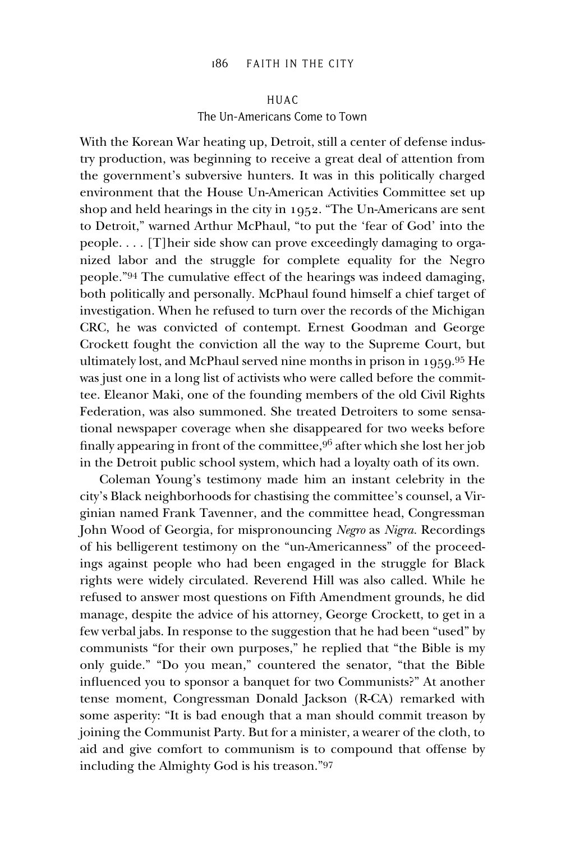#### HUAC

#### The Un-Americans Come to Town

With the Korean War heating up, Detroit, still a center of defense industry production, was beginning to receive a great deal of attention from the government's subversive hunters. It was in this politically charged environment that the House Un-American Activities Committee set up shop and held hearings in the city in 1952. "The Un-Americans are sent to Detroit," warned Arthur McPhaul, "to put the 'fear of God' into the people. . . . [T]heir side show can prove exceedingly damaging to organized labor and the struggle for complete equality for the Negro people."<sup>94</sup> The cumulative effect of the hearings was indeed damaging, both politically and personally. McPhaul found himself a chief target of investigation. When he refused to turn over the records of the Michigan CRC, he was convicted of contempt. Ernest Goodman and George Crockett fought the conviction all the way to the Supreme Court, but ultimately lost, and McPhaul served nine months in prison in 1959.<sup>95</sup> He was just one in a long list of activists who were called before the committee. Eleanor Maki, one of the founding members of the old Civil Rights Federation, was also summoned. She treated Detroiters to some sensational newspaper coverage when she disappeared for two weeks before finally appearing in front of the committee,  $9^6$  after which she lost her job in the Detroit public school system, which had a loyalty oath of its own.

Coleman Young's testimony made him an instant celebrity in the city's Black neighborhoods for chastising the committee's counsel, a Virginian named Frank Tavenner, and the committee head, Congressman John Wood of Georgia, for mispronouncing *Negro* as *Nigra.* Recordings of his belligerent testimony on the "un-Americanness" of the proceedings against people who had been engaged in the struggle for Black rights were widely circulated. Reverend Hill was also called. While he refused to answer most questions on Fifth Amendment grounds, he did manage, despite the advice of his attorney, George Crockett, to get in a few verbal jabs. In response to the suggestion that he had been "used" by communists "for their own purposes," he replied that "the Bible is my only guide." "Do you mean," countered the senator, "that the Bible influenced you to sponsor a banquet for two Communists?" At another tense moment, Congressman Donald Jackson (R-CA) remarked with some asperity: "It is bad enough that a man should commit treason by joining the Communist Party. But for a minister, a wearer of the cloth, to aid and give comfort to communism is to compound that offense by including the Almighty God is his treason."<sup>97</sup>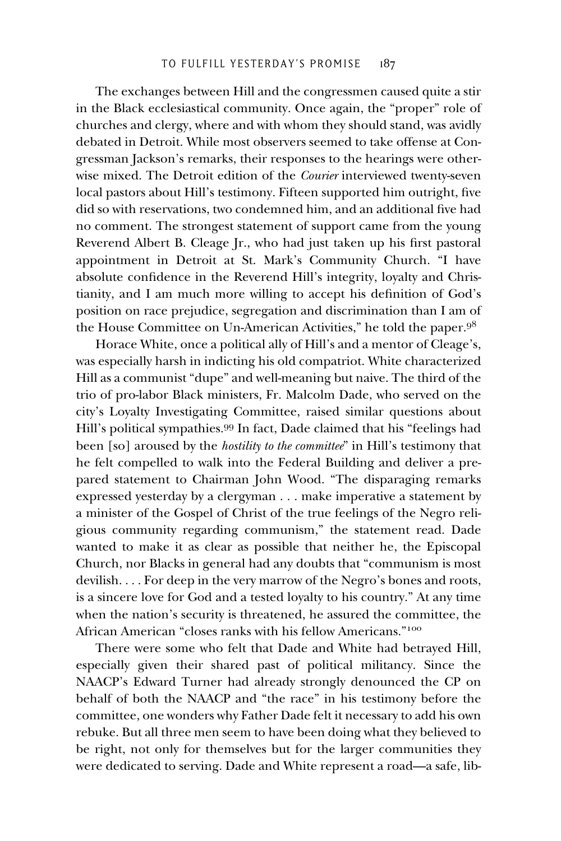The exchanges between Hill and the congressmen caused quite a stir in the Black ecclesiastical community. Once again, the "proper" role of churches and clergy, where and with whom they should stand, was avidly debated in Detroit. While most observers seemed to take offense at Congressman Jackson's remarks, their responses to the hearings were otherwise mixed. The Detroit edition of the *Courier* interviewed twenty-seven local pastors about Hill's testimony. Fifteen supported him outright, five did so with reservations, two condemned him, and an additional five had no comment. The strongest statement of support came from the young Reverend Albert B. Cleage Jr., who had just taken up his first pastoral appointment in Detroit at St. Mark's Community Church. "I have absolute confidence in the Reverend Hill's integrity, loyalty and Christianity, and I am much more willing to accept his definition of God's position on race prejudice, segregation and discrimination than I am of the House Committee on Un-American Activities," he told the paper.98

Horace White, once a political ally of Hill's and a mentor of Cleage's, was especially harsh in indicting his old compatriot. White characterized Hill as a communist "dupe" and well-meaning but naive. The third of the trio of pro-labor Black ministers, Fr. Malcolm Dade, who served on the city's Loyalty Investigating Committee, raised similar questions about Hill's political sympathies.<sup>99</sup> In fact, Dade claimed that his "feelings had been [so] aroused by the *hostility to the committee*" in Hill's testimony that he felt compelled to walk into the Federal Building and deliver a prepared statement to Chairman John Wood. "The disparaging remarks expressed yesterday by a clergyman . . . make imperative a statement by a minister of the Gospel of Christ of the true feelings of the Negro religious community regarding communism," the statement read. Dade wanted to make it as clear as possible that neither he, the Episcopal Church, nor Blacks in general had any doubts that "communism is most devilish. . . . For deep in the very marrow of the Negro's bones and roots, is a sincere love for God and a tested loyalty to his country." At any time when the nation's security is threatened, he assured the committee, the African American "closes ranks with his fellow Americans."100

There were some who felt that Dade and White had betrayed Hill, especially given their shared past of political militancy. Since the NAACP's Edward Turner had already strongly denounced the CP on behalf of both the NAACP and "the race" in his testimony before the committee, one wonders why Father Dade felt it necessary to add his own rebuke. But all three men seem to have been doing what they believed to be right, not only for themselves but for the larger communities they were dedicated to serving. Dade and White represent a road—a safe, lib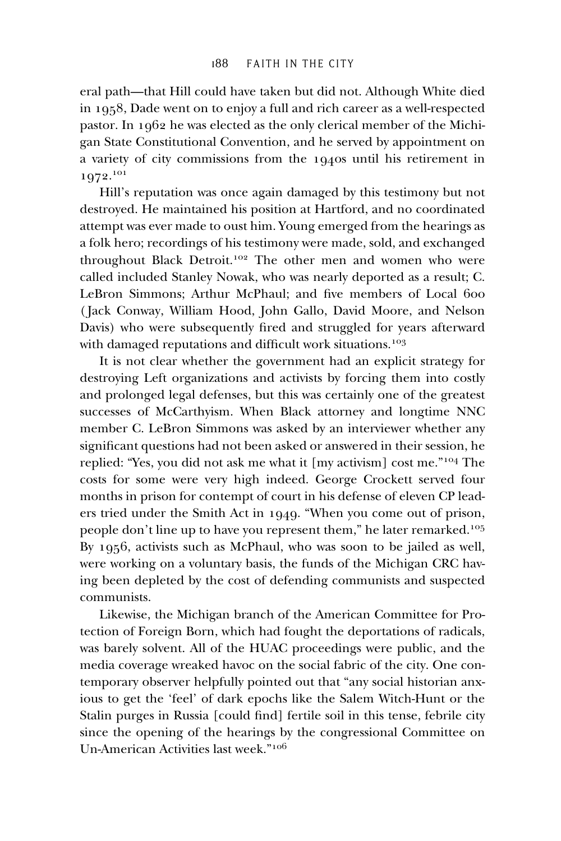eral path—that Hill could have taken but did not. Although White died in 1958, Dade went on to enjoy a full and rich career as a well-respected pastor. In 1962 he was elected as the only clerical member of the Michigan State Constitutional Convention, and he served by appointment on a variety of city commissions from the 1940s until his retirement in 1972.101

Hill's reputation was once again damaged by this testimony but not destroyed. He maintained his position at Hartford, and no coordinated attempt was ever made to oust him. Young emerged from the hearings as a folk hero; recordings of his testimony were made, sold, and exchanged throughout Black Detroit.<sup>102</sup> The other men and women who were called included Stanley Nowak, who was nearly deported as a result; C. LeBron Simmons; Arthur McPhaul; and five members of Local 600 ( Jack Conway, William Hood, John Gallo, David Moore, and Nelson Davis) who were subsequently fired and struggled for years afterward with damaged reputations and difficult work situations.<sup>103</sup>

It is not clear whether the government had an explicit strategy for destroying Left organizations and activists by forcing them into costly and prolonged legal defenses, but this was certainly one of the greatest successes of McCarthyism. When Black attorney and longtime NNC member C. LeBron Simmons was asked by an interviewer whether any significant questions had not been asked or answered in their session, he replied: "Yes, you did not ask me what it [my activism] cost me."<sup>104</sup> The costs for some were very high indeed. George Crockett served four months in prison for contempt of court in his defense of eleven CP leaders tried under the Smith Act in 1949. "When you come out of prison, people don't line up to have you represent them," he later remarked.105 By 1956, activists such as McPhaul, who was soon to be jailed as well, were working on a voluntary basis, the funds of the Michigan CRC having been depleted by the cost of defending communists and suspected communists.

Likewise, the Michigan branch of the American Committee for Protection of Foreign Born, which had fought the deportations of radicals, was barely solvent. All of the HUAC proceedings were public, and the media coverage wreaked havoc on the social fabric of the city. One contemporary observer helpfully pointed out that "any social historian anxious to get the 'feel' of dark epochs like the Salem Witch-Hunt or the Stalin purges in Russia [could find] fertile soil in this tense, febrile city since the opening of the hearings by the congressional Committee on Un-American Activities last week."106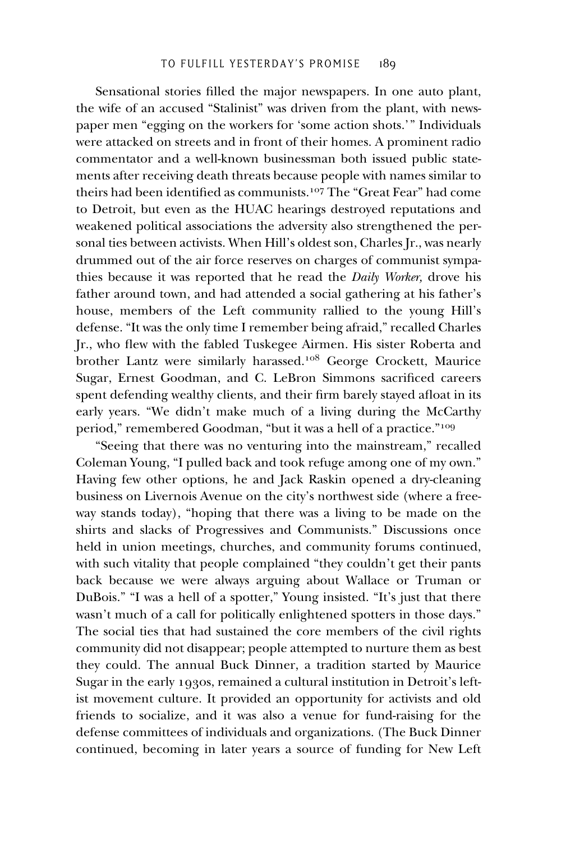Sensational stories filled the major newspapers. In one auto plant, the wife of an accused "Stalinist" was driven from the plant, with newspaper men "egging on the workers for 'some action shots.'" Individuals were attacked on streets and in front of their homes. A prominent radio commentator and a well-known businessman both issued public statements after receiving death threats because people with names similar to theirs had been identified as communists.<sup>107</sup> The "Great Fear" had come to Detroit, but even as the HUAC hearings destroyed reputations and weakened political associations the adversity also strengthened the personal ties between activists. When Hill's oldest son, Charles Jr., was nearly drummed out of the air force reserves on charges of communist sympathies because it was reported that he read the *Daily Worker,* drove his father around town, and had attended a social gathering at his father's house, members of the Left community rallied to the young Hill's defense. "It was the only time I remember being afraid," recalled Charles Jr., who flew with the fabled Tuskegee Airmen. His sister Roberta and brother Lantz were similarly harassed.108 George Crockett, Maurice Sugar, Ernest Goodman, and C. LeBron Simmons sacrificed careers spent defending wealthy clients, and their firm barely stayed afloat in its early years. "We didn't make much of a living during the McCarthy period," remembered Goodman, "but it was a hell of a practice."<sup>109</sup>

"Seeing that there was no venturing into the mainstream," recalled Coleman Young, "I pulled back and took refuge among one of my own." Having few other options, he and Jack Raskin opened a dry-cleaning business on Livernois Avenue on the city's northwest side (where a freeway stands today), "hoping that there was a living to be made on the shirts and slacks of Progressives and Communists." Discussions once held in union meetings, churches, and community forums continued, with such vitality that people complained "they couldn't get their pants back because we were always arguing about Wallace or Truman or DuBois." "I was a hell of a spotter," Young insisted. "It's just that there wasn't much of a call for politically enlightened spotters in those days." The social ties that had sustained the core members of the civil rights community did not disappear; people attempted to nurture them as best they could. The annual Buck Dinner, a tradition started by Maurice Sugar in the early 1930s, remained a cultural institution in Detroit's leftist movement culture. It provided an opportunity for activists and old friends to socialize, and it was also a venue for fund-raising for the defense committees of individuals and organizations. (The Buck Dinner continued, becoming in later years a source of funding for New Left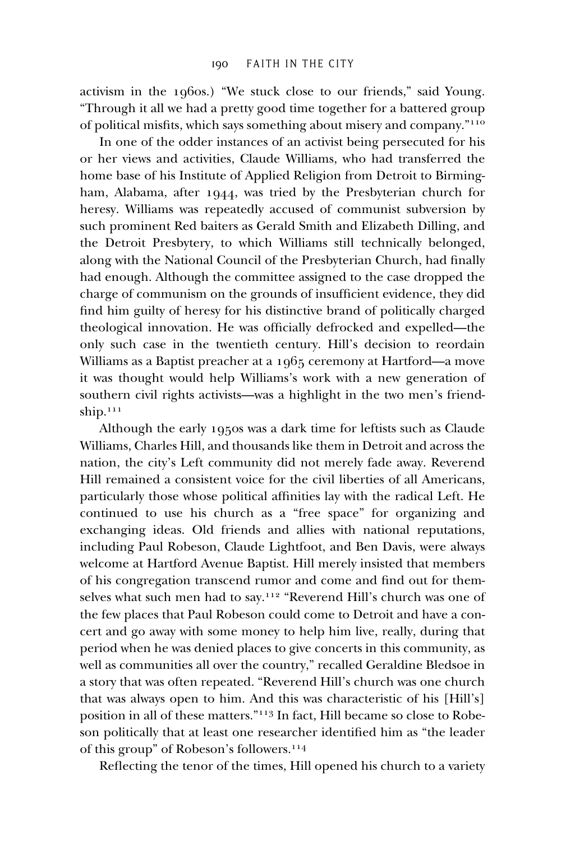activism in the 1960s.) "We stuck close to our friends," said Young. "Through it all we had a pretty good time together for a battered group of political misfits, which says something about misery and company."<sup>110</sup>

In one of the odder instances of an activist being persecuted for his or her views and activities, Claude Williams, who had transferred the home base of his Institute of Applied Religion from Detroit to Birmingham, Alabama, after 1944, was tried by the Presbyterian church for heresy. Williams was repeatedly accused of communist subversion by such prominent Red baiters as Gerald Smith and Elizabeth Dilling, and the Detroit Presbytery, to which Williams still technically belonged, along with the National Council of the Presbyterian Church, had finally had enough. Although the committee assigned to the case dropped the charge of communism on the grounds of insufficient evidence, they did find him guilty of heresy for his distinctive brand of politically charged theological innovation. He was officially defrocked and expelled—the only such case in the twentieth century. Hill's decision to reordain Williams as a Baptist preacher at a 1965 ceremony at Hartford—a move it was thought would help Williams's work with a new generation of southern civil rights activists—was a highlight in the two men's friendship. $111$ 

Although the early 1950s was a dark time for leftists such as Claude Williams, Charles Hill, and thousands like them in Detroit and across the nation, the city's Left community did not merely fade away. Reverend Hill remained a consistent voice for the civil liberties of all Americans, particularly those whose political affinities lay with the radical Left. He continued to use his church as a "free space" for organizing and exchanging ideas. Old friends and allies with national reputations, including Paul Robeson, Claude Lightfoot, and Ben Davis, were always welcome at Hartford Avenue Baptist. Hill merely insisted that members of his congregation transcend rumor and come and find out for themselves what such men had to say.<sup>112</sup> "Reverend Hill's church was one of the few places that Paul Robeson could come to Detroit and have a concert and go away with some money to help him live, really, during that period when he was denied places to give concerts in this community, as well as communities all over the country," recalled Geraldine Bledsoe in a story that was often repeated. "Reverend Hill's church was one church that was always open to him. And this was characteristic of his [Hill's] position in all of these matters."<sup>113</sup> In fact, Hill became so close to Robeson politically that at least one researcher identified him as "the leader of this group" of Robeson's followers.<sup>114</sup>

Reflecting the tenor of the times, Hill opened his church to a variety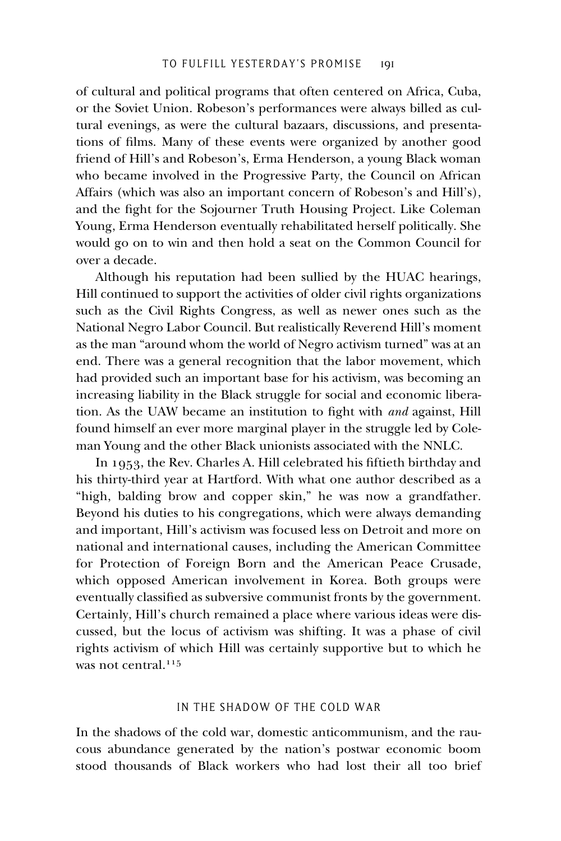of cultural and political programs that often centered on Africa, Cuba, or the Soviet Union. Robeson's performances were always billed as cultural evenings, as were the cultural bazaars, discussions, and presentations of films. Many of these events were organized by another good friend of Hill's and Robeson's, Erma Henderson, a young Black woman who became involved in the Progressive Party, the Council on African Affairs (which was also an important concern of Robeson's and Hill's), and the fight for the Sojourner Truth Housing Project. Like Coleman Young, Erma Henderson eventually rehabilitated herself politically. She would go on to win and then hold a seat on the Common Council for over a decade.

Although his reputation had been sullied by the HUAC hearings, Hill continued to support the activities of older civil rights organizations such as the Civil Rights Congress, as well as newer ones such as the National Negro Labor Council. But realistically Reverend Hill's moment as the man "around whom the world of Negro activism turned" was at an end. There was a general recognition that the labor movement, which had provided such an important base for his activism, was becoming an increasing liability in the Black struggle for social and economic liberation. As the UAW became an institution to fight with *and* against, Hill found himself an ever more marginal player in the struggle led by Coleman Young and the other Black unionists associated with the NNLC.

In 1953, the Rev. Charles A. Hill celebrated his fiftieth birthday and his thirty-third year at Hartford. With what one author described as a "high, balding brow and copper skin," he was now a grandfather. Beyond his duties to his congregations, which were always demanding and important, Hill's activism was focused less on Detroit and more on national and international causes, including the American Committee for Protection of Foreign Born and the American Peace Crusade, which opposed American involvement in Korea. Both groups were eventually classified as subversive communist fronts by the government. Certainly, Hill's church remained a place where various ideas were discussed, but the locus of activism was shifting. It was a phase of civil rights activism of which Hill was certainly supportive but to which he was not central. $115$ 

#### IN THE SHADOW OF THE COLD WAR

In the shadows of the cold war, domestic anticommunism, and the raucous abundance generated by the nation's postwar economic boom stood thousands of Black workers who had lost their all too brief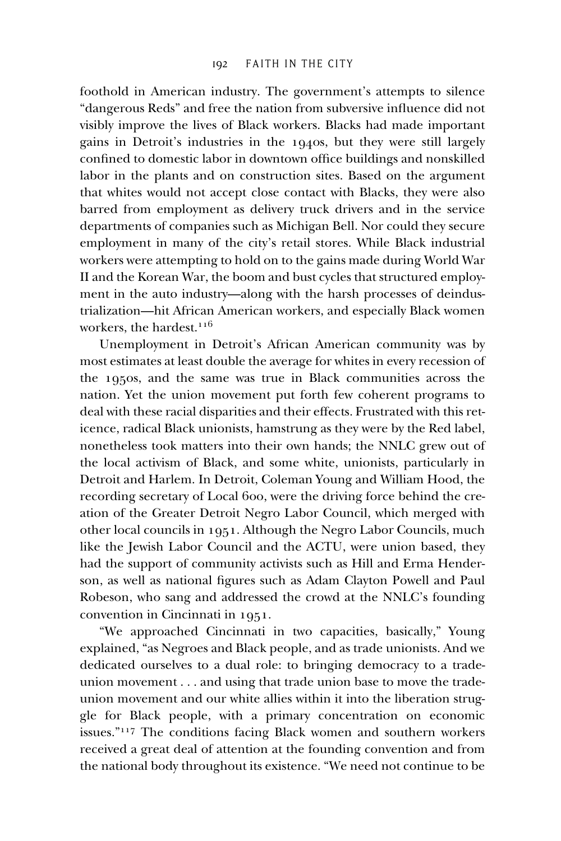foothold in American industry. The government's attempts to silence "dangerous Reds" and free the nation from subversive influence did not visibly improve the lives of Black workers. Blacks had made important gains in Detroit's industries in the 1940s, but they were still largely confined to domestic labor in downtown office buildings and nonskilled labor in the plants and on construction sites. Based on the argument that whites would not accept close contact with Blacks, they were also barred from employment as delivery truck drivers and in the service departments of companies such as Michigan Bell. Nor could they secure employment in many of the city's retail stores. While Black industrial workers were attempting to hold on to the gains made during World War II and the Korean War, the boom and bust cycles that structured employment in the auto industry—along with the harsh processes of deindustrialization—hit African American workers, and especially Black women workers, the hardest.<sup>116</sup>

Unemployment in Detroit's African American community was by most estimates at least double the average for whites in every recession of the 1950s, and the same was true in Black communities across the nation. Yet the union movement put forth few coherent programs to deal with these racial disparities and their effects. Frustrated with this reticence, radical Black unionists, hamstrung as they were by the Red label, nonetheless took matters into their own hands; the NNLC grew out of the local activism of Black, and some white, unionists, particularly in Detroit and Harlem. In Detroit, Coleman Young and William Hood, the recording secretary of Local 600, were the driving force behind the creation of the Greater Detroit Negro Labor Council, which merged with other local councils in 1951. Although the Negro Labor Councils, much like the Jewish Labor Council and the ACTU, were union based, they had the support of community activists such as Hill and Erma Henderson, as well as national figures such as Adam Clayton Powell and Paul Robeson, who sang and addressed the crowd at the NNLC's founding convention in Cincinnati in 1951.

"We approached Cincinnati in two capacities, basically," Young explained, "as Negroes and Black people, and as trade unionists. And we dedicated ourselves to a dual role: to bringing democracy to a tradeunion movement . . . and using that trade union base to move the tradeunion movement and our white allies within it into the liberation struggle for Black people, with a primary concentration on economic issues."<sup>117</sup> The conditions facing Black women and southern workers received a great deal of attention at the founding convention and from the national body throughout its existence. "We need not continue to be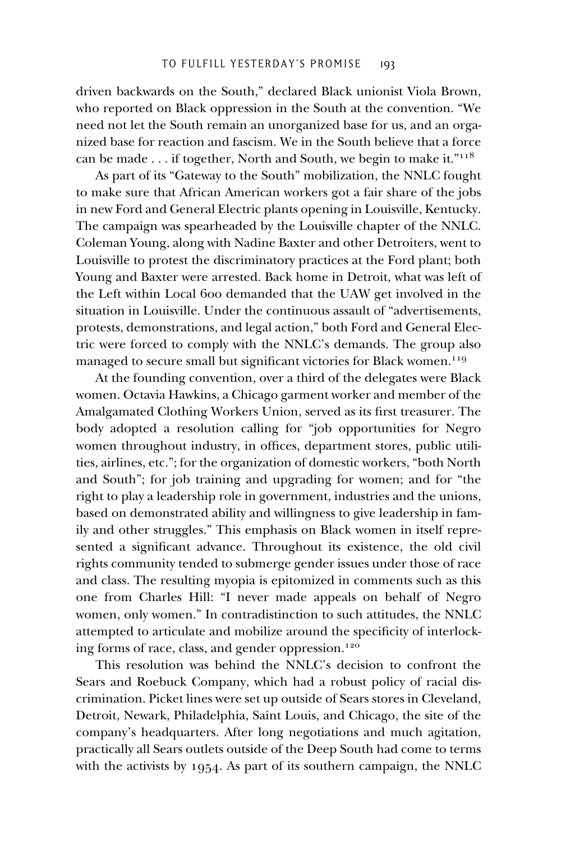driven backwards on the South," declared Black unionist Viola Brown, who reported on Black oppression in the South at the convention. "We need not let the South remain an unorganized base for us, and an organized base for reaction and fascism. We in the South believe that a force can be made  $\dots$  if together, North and South, we begin to make it."<sup>118</sup>

As part of its "Gateway to the South" mobilization, the NNLC fought to make sure that African American workers got a fair share of the jobs in new Ford and General Electric plants opening in Louisville, Kentucky. The campaign was spearheaded by the Louisville chapter of the NNLC. Coleman Young, along with Nadine Baxter and other Detroiters, went to Louisville to protest the discriminatory practices at the Ford plant; both Young and Baxter were arrested. Back home in Detroit, what was left of the Left within Local 600 demanded that the UAW get involved in the situation in Louisville. Under the continuous assault of "advertisements, protests, demonstrations, and legal action," both Ford and General Electric were forced to comply with the NNLC's demands. The group also managed to secure small but significant victories for Black women.<sup>119</sup>

At the founding convention, over a third of the delegates were Black women. Octavia Hawkins, a Chicago garment worker and member of the Amalgamated Clothing Workers Union, served as its first treasurer. The body adopted a resolution calling for "job opportunities for Negro women throughout industry, in offices, department stores, public utilities, airlines, etc."; for the organization of domestic workers, "both North and South"; for job training and upgrading for women; and for "the right to play a leadership role in government, industries and the unions, based on demonstrated ability and willingness to give leadership in family and other struggles." This emphasis on Black women in itself represented a significant advance. Throughout its existence, the old civil rights community tended to submerge gender issues under those of race and class. The resulting myopia is epitomized in comments such as this one from Charles Hill: "I never made appeals on behalf of Negro women, only women." In contradistinction to such attitudes, the NNLC attempted to articulate and mobilize around the specificity of interlocking forms of race, class, and gender oppression.<sup>120</sup>

This resolution was behind the NNLC's decision to confront the Sears and Roebuck Company, which had a robust policy of racial discrimination. Picket lines were set up outside of Sears stores in Cleveland, Detroit, Newark, Philadelphia, Saint Louis, and Chicago, the site of the company's headquarters. After long negotiations and much agitation, practically all Sears outlets outside of the Deep South had come to terms with the activists by 1954. As part of its southern campaign, the NNLC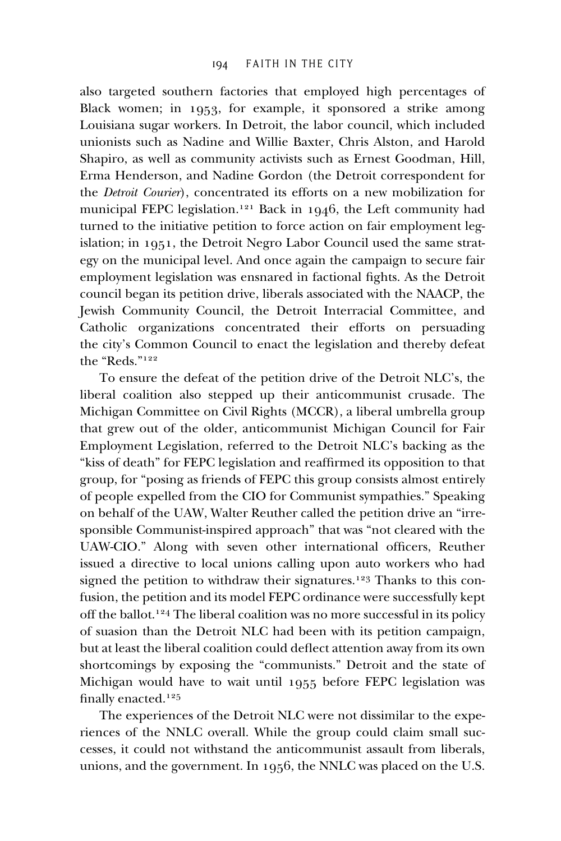also targeted southern factories that employed high percentages of Black women; in 1953, for example, it sponsored a strike among Louisiana sugar workers. In Detroit, the labor council, which included unionists such as Nadine and Willie Baxter, Chris Alston, and Harold Shapiro, as well as community activists such as Ernest Goodman, Hill, Erma Henderson, and Nadine Gordon (the Detroit correspondent for the *Detroit Courier*), concentrated its efforts on a new mobilization for municipal FEPC legislation.<sup>121</sup> Back in 1946, the Left community had turned to the initiative petition to force action on fair employment legislation; in 1951, the Detroit Negro Labor Council used the same strategy on the municipal level. And once again the campaign to secure fair employment legislation was ensnared in factional fights. As the Detroit council began its petition drive, liberals associated with the NAACP, the Jewish Community Council, the Detroit Interracial Committee, and Catholic organizations concentrated their efforts on persuading the city's Common Council to enact the legislation and thereby defeat the "Reds."122

To ensure the defeat of the petition drive of the Detroit NLC's, the liberal coalition also stepped up their anticommunist crusade. The Michigan Committee on Civil Rights (MCCR), a liberal umbrella group that grew out of the older, anticommunist Michigan Council for Fair Employment Legislation, referred to the Detroit NLC's backing as the "kiss of death" for FEPC legislation and reaffirmed its opposition to that group, for "posing as friends of FEPC this group consists almost entirely of people expelled from the CIO for Communist sympathies." Speaking on behalf of the UAW, Walter Reuther called the petition drive an "irresponsible Communist-inspired approach" that was "not cleared with the UAW-CIO." Along with seven other international officers, Reuther issued a directive to local unions calling upon auto workers who had signed the petition to withdraw their signatures.<sup>123</sup> Thanks to this confusion, the petition and its model FEPC ordinance were successfully kept off the ballot.<sup>124</sup> The liberal coalition was no more successful in its policy of suasion than the Detroit NLC had been with its petition campaign, but at least the liberal coalition could deflect attention away from its own shortcomings by exposing the "communists." Detroit and the state of Michigan would have to wait until 1955 before FEPC legislation was finally enacted.<sup>125</sup>

The experiences of the Detroit NLC were not dissimilar to the experiences of the NNLC overall. While the group could claim small successes, it could not withstand the anticommunist assault from liberals, unions, and the government. In 1956, the NNLC was placed on the U.S.